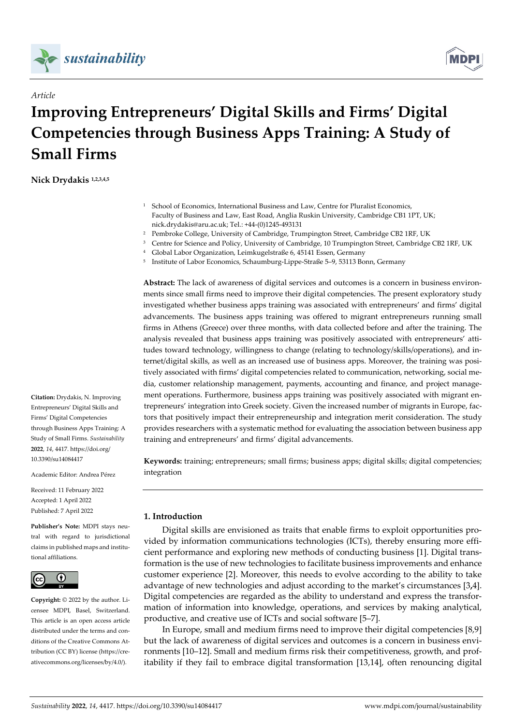



# **Improving Entrepreneurs' Digital Skills and Firms' Digital Competencies through Business Apps Training: A Study of Small Firms**

**Nick Drydakis 1,2,3,4,5**

*Article*

- <sup>1</sup> School of Economics, International Business and Law, Centre for Pluralist Economics, Faculty of Business and Law, East Road, Anglia Ruskin University, Cambridge CB1 1PT, UK; nick.drydakis@aru.ac.uk; Tel.: +44-(0)1245-493131
- <sup>2</sup> Pembroke College, University of Cambridge, Trumpington Street, Cambridge CB2 1RF, UK
- <sup>3</sup> Centre for Science and Policy, University of Cambridge, 10 Trumpington Street, Cambridge CB2 1RF, UK
- <sup>4</sup> Global Labor Organization, Leimkugelstraße 6, 45141 Essen, Germany
- <sup>5</sup> Institute of Labor Economics, Schaumburg-Lippe-Straße 5–9, 53113 Bonn, Germany

**Abstract:** The lack of awareness of digital services and outcomes is a concern in business environments since small firms need to improve their digital competencies. The present exploratory study investigated whether business apps training was associated with entrepreneurs' and firms' digital advancements. The business apps training was offered to migrant entrepreneurs running small firms in Athens (Greece) over three months, with data collected before and after the training. The analysis revealed that business apps training was positively associated with entrepreneurs' attitudes toward technology, willingness to change (relating to technology/skills/operations), and internet/digital skills, as well as an increased use of business apps. Moreover, the training was positively associated with firms' digital competencies related to communication, networking, social media, customer relationship management, payments, accounting and finance, and project management operations. Furthermore, business apps training was positively associated with migrant entrepreneurs' integration into Greek society. Given the increased number of migrants in Europe, factors that positively impact their entrepreneurship and integration merit consideration. The study provides researchers with a systematic method for evaluating the association between business app training and entrepreneurs' and firms' digital advancements.

**Keywords:** training; entrepreneurs; small firms; business apps; digital skills; digital competencies; integration

# **1. Introduction**

Digital skills are envisioned as traits that enable firms to exploit opportunities provided by information communications technologies (ICTs), thereby ensuring more efficient performance and exploring new methods of conducting business [1]. Digital transformation is the use of new technologies to facilitate business improvements and enhance customer experience [2]. Moreover, this needs to evolve according to the ability to take advantage of new technologies and adjust according to the market's circumstances [3**,**4]. Digital competencies are regarded as the ability to understand and express the transformation of information into knowledge, operations, and services by making analytical, productive, and creative use of ICTs and social software [5–7].

In Europe, small and medium firms need to improve their digital competencies [8,9] but the lack of awareness of digital services and outcomes is a concern in business environments [10–12]. Small and medium firms risk their competitiveness, growth, and profitability if they fail to embrace digital transformation [13,14], often renouncing digital

**Citation:** Drydakis, N. Improving Entrepreneurs' Digital Skills and Firms' Digital Competencies through Business Apps Training: A Study of Small Firms. *Sustainability*  **2022**, *14*, 4417. https://doi.org/ 10.3390/su14084417

Academic Editor: Andrea Pérez

Received: 11 February 2022 Accepted: 1 April 2022 Published: 7 April 2022

**Publisher's Note:** MDPI stays neutral with regard to jurisdictional claims in published maps and institutional affiliations.



**Copyright:** © 2022 by the author. Licensee MDPI, Basel, Switzerland. This article is an open access article distributed under the terms and conditions of the Creative Commons Attribution (CC BY) license (https://creativecommons.org/licenses/by/4.0/).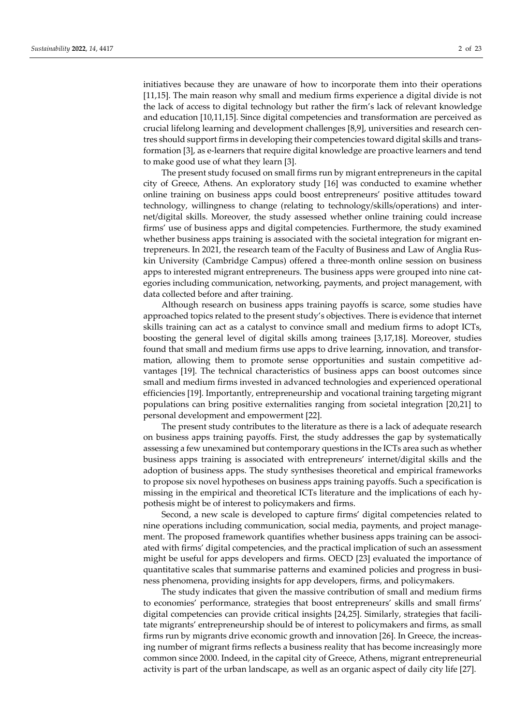initiatives because they are unaware of how to incorporate them into their operations [11,15]. The main reason why small and medium firms experience a digital divide is not the lack of access to digital technology but rather the firm's lack of relevant knowledge and education [10,11,15]. Since digital competencies and transformation are perceived as crucial lifelong learning and development challenges [8,9], universities and research centres should support firms in developing their competencies toward digital skills and transformation [3], as e-learners that require digital knowledge are proactive learners and tend to make good use of what they learn [3].

The present study focused on small firms run by migrant entrepreneurs in the capital city of Greece, Athens. An exploratory study [16] was conducted to examine whether online training on business apps could boost entrepreneurs' positive attitudes toward technology, willingness to change (relating to technology/skills/operations) and internet/digital skills. Moreover, the study assessed whether online training could increase firms' use of business apps and digital competencies. Furthermore, the study examined whether business apps training is associated with the societal integration for migrant entrepreneurs. In 2021, the research team of the Faculty of Business and Law of Anglia Ruskin University (Cambridge Campus) offered a three-month online session on business apps to interested migrant entrepreneurs. The business apps were grouped into nine categories including communication, networking, payments, and project management, with data collected before and after training.

Although research on business apps training payoffs is scarce, some studies have approached topics related to the present study's objectives. There is evidence that internet skills training can act as a catalyst to convince small and medium firms to adopt ICTs, boosting the general level of digital skills among trainees [3,17,18]. Moreover, studies found that small and medium firms use apps to drive learning, innovation, and transformation, allowing them to promote sense opportunities and sustain competitive advantages [19]. The technical characteristics of business apps can boost outcomes since small and medium firms invested in advanced technologies and experienced operational efficiencies [19]. Importantly, entrepreneurship and vocational training targeting migrant populations can bring positive externalities ranging from societal integration [20,21] to personal development and empowerment [22].

The present study contributes to the literature as there is a lack of adequate research on business apps training payoffs. First, the study addresses the gap by systematically assessing a few unexamined but contemporary questions in the ICTs area such as whether business apps training is associated with entrepreneurs' internet/digital skills and the adoption of business apps. The study synthesises theoretical and empirical frameworks to propose six novel hypotheses on business apps training payoffs. Such a specification is missing in the empirical and theoretical ICTs literature and the implications of each hypothesis might be of interest to policymakers and firms.

Second, a new scale is developed to capture firms' digital competencies related to nine operations including communication, social media, payments, and project management. The proposed framework quantifies whether business apps training can be associated with firms' digital competencies, and the practical implication of such an assessment might be useful for apps developers and firms. OECD [23] evaluated the importance of quantitative scales that summarise patterns and examined policies and progress in business phenomena, providing insights for app developers, firms, and policymakers.

The study indicates that given the massive contribution of small and medium firms to economies' performance, strategies that boost entrepreneurs' skills and small firms' digital competencies can provide critical insights [24,25]. Similarly, strategies that facilitate migrants' entrepreneurship should be of interest to policymakers and firms, as small firms run by migrants drive economic growth and innovation [26]. In Greece, the increasing number of migrant firms reflects a business reality that has become increasingly more common since 2000. Indeed, in the capital city of Greece, Athens, migrant entrepreneurial activity is part of the urban landscape, as well as an organic aspect of daily city life [27].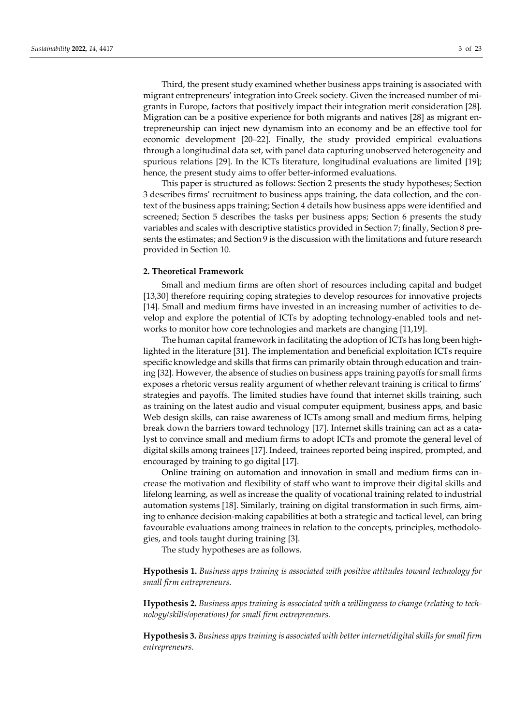Third, the present study examined whether business apps training is associated with migrant entrepreneurs' integration into Greek society. Given the increased number of migrants in Europe, factors that positively impact their integration merit consideration [28]. Migration can be a positive experience for both migrants and natives [28] as migrant entrepreneurship can inject new dynamism into an economy and be an effective tool for economic development [20–22]. Finally, the study provided empirical evaluations through a longitudinal data set, with panel data capturing unobserved heterogeneity and spurious relations [29]. In the ICTs literature, longitudinal evaluations are limited [19]; hence, the present study aims to offer better-informed evaluations.

This paper is structured as follows: Section 2 presents the study hypotheses; Section 3 describes firms' recruitment to business apps training, the data collection, and the context of the business apps training; Section 4 details how business apps were identified and screened; Section 5 describes the tasks per business apps; Section 6 presents the study variables and scales with descriptive statistics provided in Section 7; finally, Section 8 presents the estimates; and Section 9 is the discussion with the limitations and future research provided in Section 10.

# **2. Theoretical Framework**

Small and medium firms are often short of resources including capital and budget [13,30] therefore requiring coping strategies to develop resources for innovative projects [14]. Small and medium firms have invested in an increasing number of activities to develop and explore the potential of ICTs by adopting technology-enabled tools and networks to monitor how core technologies and markets are changing [11,19].

The human capital framework in facilitating the adoption of ICTs has long been highlighted in the literature [31]. The implementation and beneficial exploitation ICTs require specific knowledge and skills that firms can primarily obtain through education and training [32]. However, the absence of studies on business apps training payoffs for small firms exposes a rhetoric versus reality argument of whether relevant training is critical to firms' strategies and payoffs. The limited studies have found that internet skills training, such as training on the latest audio and visual computer equipment, business apps, and basic Web design skills, can raise awareness of ICTs among small and medium firms, helping break down the barriers toward technology [17]. Internet skills training can act as a catalyst to convince small and medium firms to adopt ICTs and promote the general level of digital skills among trainees [17]. Indeed, trainees reported being inspired, prompted, and encouraged by training to go digital [17].

Online training on automation and innovation in small and medium firms can increase the motivation and flexibility of staff who want to improve their digital skills and lifelong learning, as well as increase the quality of vocational training related to industrial automation systems [18]. Similarly, training on digital transformation in such firms, aiming to enhance decision-making capabilities at both a strategic and tactical level, can bring favourable evaluations among trainees in relation to the concepts, principles, methodologies, and tools taught during training [3].

The study hypotheses are as follows.

**Hypothesis 1.** *Business apps training is associated with positive attitudes toward technology for small firm entrepreneurs.*

**Hypothesis 2.** *Business apps training is associated with a willingness to change (relating to technology/skills/operations) for small firm entrepreneurs.*

**Hypothesis 3.** *Business apps training is associated with better internet/digital skills for small firm entrepreneurs.*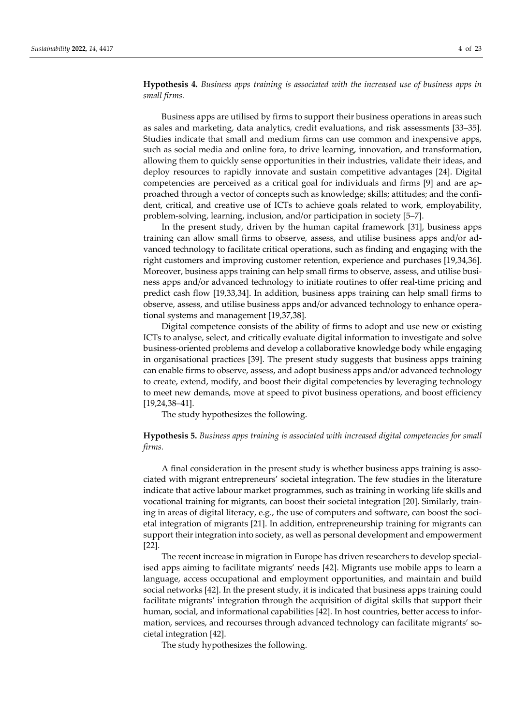**Hypothesis 4.** *Business apps training is associated with the increased use of business apps in small firms.*

Business apps are utilised by firms to support their business operations in areas such as sales and marketing, data analytics, credit evaluations, and risk assessments [33–35]. Studies indicate that small and medium firms can use common and inexpensive apps, such as social media and online fora, to drive learning, innovation, and transformation, allowing them to quickly sense opportunities in their industries, validate their ideas, and deploy resources to rapidly innovate and sustain competitive advantages [24]. Digital competencies are perceived as a critical goal for individuals and firms [9] and are approached through a vector of concepts such as knowledge; skills; attitudes; and the confident, critical, and creative use of ICTs to achieve goals related to work, employability, problem-solving, learning, inclusion, and/or participation in society [5–7].

In the present study, driven by the human capital framework [31], business apps training can allow small firms to observe, assess, and utilise business apps and/or advanced technology to facilitate critical operations, such as finding and engaging with the right customers and improving customer retention, experience and purchases [19,34,36]. Moreover, business apps training can help small firms to observe, assess, and utilise business apps and/or advanced technology to initiate routines to offer real-time pricing and predict cash flow [19,33,34]. In addition, business apps training can help small firms to observe, assess, and utilise business apps and/or advanced technology to enhance operational systems and management [19,37,38].

Digital competence consists of the ability of firms to adopt and use new or existing ICTs to analyse, select, and critically evaluate digital information to investigate and solve business-oriented problems and develop a collaborative knowledge body while engaging in organisational practices [39]. The present study suggests that business apps training can enable firms to observe, assess, and adopt business apps and/or advanced technology to create, extend, modify, and boost their digital competencies by leveraging technology to meet new demands, move at speed to pivot business operations, and boost efficiency [19,24,38–41].

The study hypothesizes the following.

**Hypothesis 5.** *Business apps training is associated with increased digital competencies for small firms.*

A final consideration in the present study is whether business apps training is associated with migrant entrepreneurs' societal integration. The few studies in the literature indicate that active labour market programmes, such as training in working life skills and vocational training for migrants, can boost their societal integration [20]. Similarly, training in areas of digital literacy, e.g., the use of computers and software, can boost the societal integration of migrants [21]. In addition, entrepreneurship training for migrants can support their integration into society, as well as personal development and empowerment [22].

The recent increase in migration in Europe has driven researchers to develop specialised apps aiming to facilitate migrants' needs [42]. Migrants use mobile apps to learn a language, access occupational and employment opportunities, and maintain and build social networks [42]. In the present study, it is indicated that business apps training could facilitate migrants' integration through the acquisition of digital skills that support their human, social, and informational capabilities [42]. In host countries, better access to information, services, and recourses through advanced technology can facilitate migrants' societal integration [42].

The study hypothesizes the following.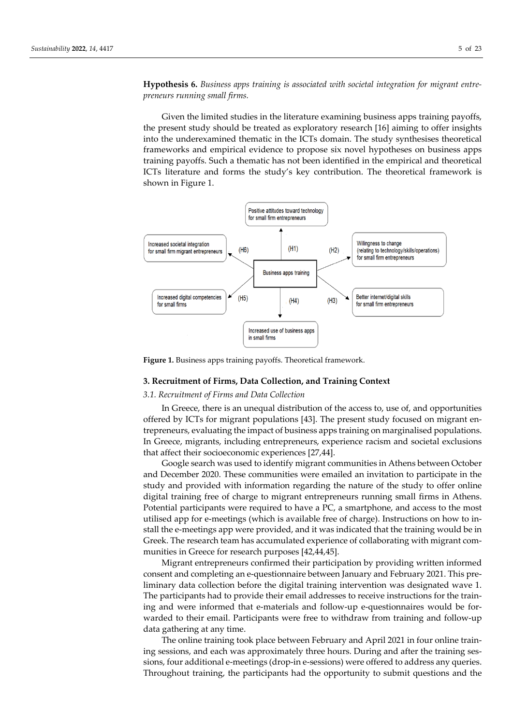**Hypothesis 6.** *Business apps training is associated with societal integration for migrant entrepreneurs running small firms.*

Given the limited studies in the literature examining business apps training payoffs, the present study should be treated as exploratory research [16] aiming to offer insights into the underexamined thematic in the ICTs domain. The study synthesises theoretical frameworks and empirical evidence to propose six novel hypotheses on business apps training payoffs. Such a thematic has not been identified in the empirical and theoretical ICTs literature and forms the study's key contribution. The theoretical framework is shown in Figure 1.



**Figure 1.** Business apps training payoffs. Theoretical framework.

#### **3. Recruitment of Firms, Data Collection, and Training Context**

#### *3.1. Recruitment of Firms and Data Collection*

In Greece, there is an unequal distribution of the access to, use of, and opportunities offered by ICTs for migrant populations [43]. The present study focused on migrant entrepreneurs, evaluating the impact of business apps training on marginalised populations. In Greece, migrants, including entrepreneurs, experience racism and societal exclusions that affect their socioeconomic experiences [27,44].

Google search was used to identify migrant communities in Athens between October and December 2020. These communities were emailed an invitation to participate in the study and provided with information regarding the nature of the study to offer online digital training free of charge to migrant entrepreneurs running small firms in Athens. Potential participants were required to have a PC, a smartphone, and access to the most utilised app for e-meetings (which is available free of charge). Instructions on how to install the e-meetings app were provided, and it was indicated that the training would be in Greek. The research team has accumulated experience of collaborating with migrant communities in Greece for research purposes [42,44,45].

Migrant entrepreneurs confirmed their participation by providing written informed consent and completing an e-questionnaire between January and February 2021. This preliminary data collection before the digital training intervention was designated wave 1. The participants had to provide their email addresses to receive instructions for the training and were informed that e-materials and follow-up e-questionnaires would be forwarded to their email. Participants were free to withdraw from training and follow-up data gathering at any time.

The online training took place between February and April 2021 in four online training sessions, and each was approximately three hours. During and after the training sessions, four additional e-meetings (drop-in e-sessions) were offered to address any queries. Throughout training, the participants had the opportunity to submit questions and the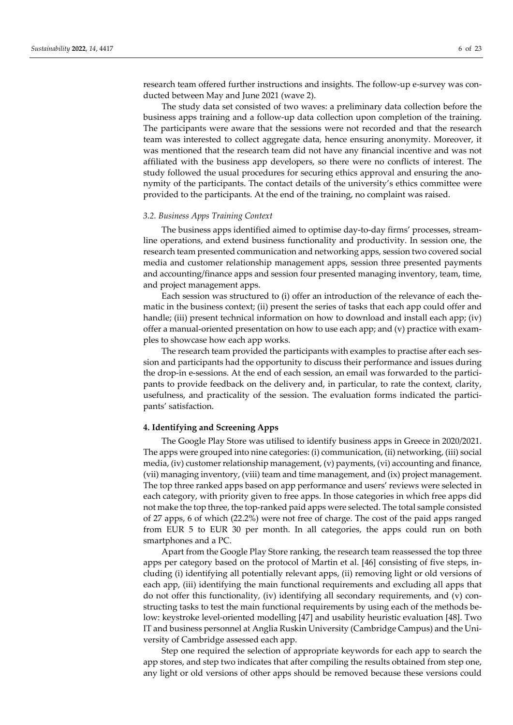research team offered further instructions and insights. The follow-up e-survey was conducted between May and June 2021 (wave 2).

The study data set consisted of two waves: a preliminary data collection before the business apps training and a follow-up data collection upon completion of the training. The participants were aware that the sessions were not recorded and that the research team was interested to collect aggregate data, hence ensuring anonymity. Moreover, it was mentioned that the research team did not have any financial incentive and was not affiliated with the business app developers, so there were no conflicts of interest. The study followed the usual procedures for securing ethics approval and ensuring the anonymity of the participants. The contact details of the university's ethics committee were provided to the participants. At the end of the training, no complaint was raised.

#### *3.2. Business Apps Training Context*

The business apps identified aimed to optimise day-to-day firms' processes, streamline operations, and extend business functionality and productivity. In session one, the research team presented communication and networking apps, session two covered social media and customer relationship management apps, session three presented payments and accounting/finance apps and session four presented managing inventory, team, time, and project management apps.

Each session was structured to (i) offer an introduction of the relevance of each thematic in the business context; (ii) present the series of tasks that each app could offer and handle; (iii) present technical information on how to download and install each app; (iv) offer a manual-oriented presentation on how to use each app; and (v) practice with examples to showcase how each app works.

The research team provided the participants with examples to practise after each session and participants had the opportunity to discuss their performance and issues during the drop-in e-sessions. At the end of each session, an email was forwarded to the participants to provide feedback on the delivery and, in particular, to rate the context, clarity, usefulness, and practicality of the session. The evaluation forms indicated the participants' satisfaction.

## **4. Identifying and Screening Apps**

The Google Play Store was utilised to identify business apps in Greece in 2020/2021. The apps were grouped into nine categories: (i) communication, (ii) networking, (iii) social media, (iv) customer relationship management, (v) payments, (vi) accounting and finance, (vii) managing inventory, (viii) team and time management, and (ix) project management. The top three ranked apps based on app performance and users' reviews were selected in each category, with priority given to free apps. In those categories in which free apps did not make the top three, the top-ranked paid apps were selected. The total sample consisted of 27 apps, 6 of which (22.2%) were not free of charge. The cost of the paid apps ranged from EUR 5 to EUR 30 per month. In all categories, the apps could run on both smartphones and a PC.

Apart from the Google Play Store ranking, the research team reassessed the top three apps per category based on the protocol of Martin et al. [46] consisting of five steps, including (i) identifying all potentially relevant apps, (ii) removing light or old versions of each app, (iii) identifying the main functional requirements and excluding all apps that do not offer this functionality, (iv) identifying all secondary requirements, and (v) constructing tasks to test the main functional requirements by using each of the methods below: keystroke level-oriented modelling [47] and usability heuristic evaluation [48]. Two IT and business personnel at Anglia Ruskin University (Cambridge Campus) and the University of Cambridge assessed each app.

Step one required the selection of appropriate keywords for each app to search the app stores, and step two indicates that after compiling the results obtained from step one, any light or old versions of other apps should be removed because these versions could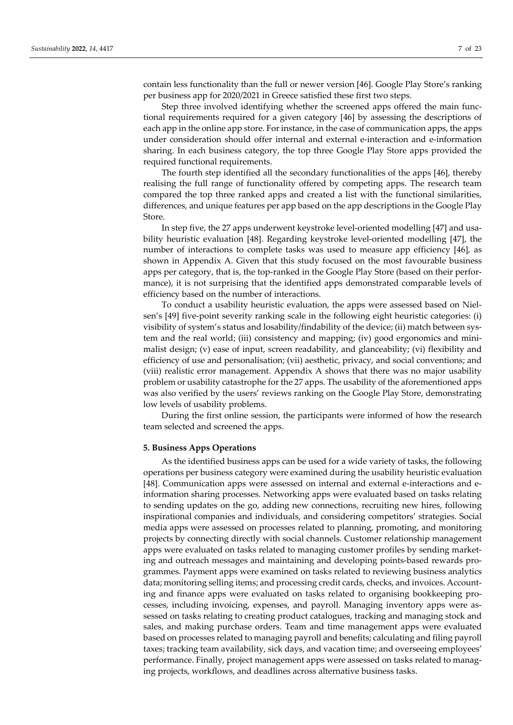contain less functionality than the full or newer version [46]. Google Play Store's ranking per business app for 2020/2021 in Greece satisfied these first two steps.

Step three involved identifying whether the screened apps offered the main functional requirements required for a given category [46] by assessing the descriptions of each app in the online app store. For instance, in the case of communication apps, the apps under consideration should offer internal and external e-interaction and e-information sharing. In each business category, the top three Google Play Store apps provided the required functional requirements.

The fourth step identified all the secondary functionalities of the apps [46], thereby realising the full range of functionality offered by competing apps. The research team compared the top three ranked apps and created a list with the functional similarities, differences, and unique features per app based on the app descriptions in the Google Play Store.

In step five, the 27 apps underwent keystroke level-oriented modelling [47] and usability heuristic evaluation [48]. Regarding keystroke level-oriented modelling [47], the number of interactions to complete tasks was used to measure app efficiency [46], as shown in Appendix A. Given that this study focused on the most favourable business apps per category, that is, the top-ranked in the Google Play Store (based on their performance), it is not surprising that the identified apps demonstrated comparable levels of efficiency based on the number of interactions.

To conduct a usability heuristic evaluation, the apps were assessed based on Nielsen's [49] five-point severity ranking scale in the following eight heuristic categories: (i) visibility of system's status and losability/findability of the device; (ii) match between system and the real world; (iii) consistency and mapping; (iv) good ergonomics and minimalist design; (v) ease of input, screen readability, and glanceability; (vi) flexibility and efficiency of use and personalisation; (vii) aesthetic, privacy, and social conventions; and (viii) realistic error management. Appendix A shows that there was no major usability problem or usability catastrophe for the 27 apps. The usability of the aforementioned apps was also verified by the users' reviews ranking on the Google Play Store, demonstrating low levels of usability problems.

During the first online session, the participants were informed of how the research team selected and screened the apps.

#### **5. Business Apps Operations**

As the identified business apps can be used for a wide variety of tasks, the following operations per business category were examined during the usability heuristic evaluation [48]. Communication apps were assessed on internal and external e-interactions and einformation sharing processes. Networking apps were evaluated based on tasks relating to sending updates on the go, adding new connections, recruiting new hires, following inspirational companies and individuals, and considering competitors' strategies. Social media apps were assessed on processes related to planning, promoting, and monitoring projects by connecting directly with social channels. Customer relationship management apps were evaluated on tasks related to managing customer profiles by sending marketing and outreach messages and maintaining and developing points-based rewards programmes. Payment apps were examined on tasks related to reviewing business analytics data; monitoring selling items; and processing credit cards, checks, and invoices. Accounting and finance apps were evaluated on tasks related to organising bookkeeping processes, including invoicing, expenses, and payroll. Managing inventory apps were assessed on tasks relating to creating product catalogues, tracking and managing stock and sales, and making purchase orders. Team and time management apps were evaluated based on processes related to managing payroll and benefits; calculating and filing payroll taxes; tracking team availability, sick days, and vacation time; and overseeing employees' performance. Finally, project management apps were assessed on tasks related to managing projects, workflows, and deadlines across alternative business tasks.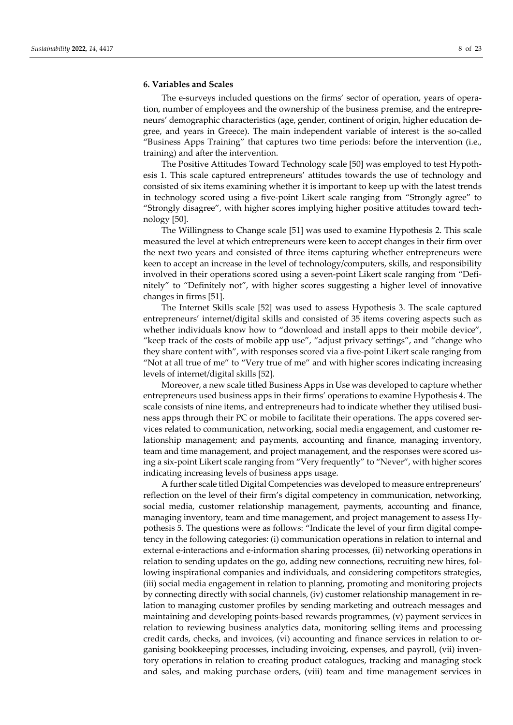#### **6. Variables and Scales**

The e-surveys included questions on the firms' sector of operation, years of operation, number of employees and the ownership of the business premise, and the entrepreneurs' demographic characteristics (age, gender, continent of origin, higher education degree, and years in Greece). The main independent variable of interest is the so-called "Business Apps Training" that captures two time periods: before the intervention (i.e., training) and after the intervention.

The Positive Attitudes Toward Technology scale [50] was employed to test Hypothesis 1. This scale captured entrepreneurs' attitudes towards the use of technology and consisted of six items examining whether it is important to keep up with the latest trends in technology scored using a five-point Likert scale ranging from "Strongly agree" to "Strongly disagree", with higher scores implying higher positive attitudes toward technology [50].

The Willingness to Change scale [51] was used to examine Hypothesis 2. This scale measured the level at which entrepreneurs were keen to accept changes in their firm over the next two years and consisted of three items capturing whether entrepreneurs were keen to accept an increase in the level of technology/computers, skills, and responsibility involved in their operations scored using a seven-point Likert scale ranging from "Definitely" to "Definitely not", with higher scores suggesting a higher level of innovative changes in firms [51].

The Internet Skills scale [52] was used to assess Hypothesis 3. The scale captured entrepreneurs' internet/digital skills and consisted of 35 items covering aspects such as whether individuals know how to "download and install apps to their mobile device", "keep track of the costs of mobile app use", "adjust privacy settings", and "change who they share content with", with responses scored via a five-point Likert scale ranging from "Not at all true of me" to "Very true of me" and with higher scores indicating increasing levels of internet/digital skills [52].

Moreover, a new scale titled Business Apps in Use was developed to capture whether entrepreneurs used business apps in their firms' operations to examine Hypothesis 4. The scale consists of nine items, and entrepreneurs had to indicate whether they utilised business apps through their PC or mobile to facilitate their operations. The apps covered services related to communication, networking, social media engagement, and customer relationship management; and payments, accounting and finance, managing inventory, team and time management, and project management, and the responses were scored using a six-point Likert scale ranging from "Very frequently" to "Never", with higher scores indicating increasing levels of business apps usage.

A further scale titled Digital Competencies was developed to measure entrepreneurs' reflection on the level of their firm's digital competency in communication, networking, social media, customer relationship management, payments, accounting and finance, managing inventory, team and time management, and project management to assess Hypothesis 5. The questions were as follows: "Indicate the level of your firm digital competency in the following categories: (i) communication operations in relation to internal and external e-interactions and e-information sharing processes, (ii) networking operations in relation to sending updates on the go, adding new connections, recruiting new hires, following inspirational companies and individuals, and considering competitors strategies, (iii) social media engagement in relation to planning, promoting and monitoring projects by connecting directly with social channels, (iv) customer relationship management in relation to managing customer profiles by sending marketing and outreach messages and maintaining and developing points-based rewards programmes, (v) payment services in relation to reviewing business analytics data, monitoring selling items and processing credit cards, checks, and invoices, (vi) accounting and finance services in relation to organising bookkeeping processes, including invoicing, expenses, and payroll, (vii) inventory operations in relation to creating product catalogues, tracking and managing stock and sales, and making purchase orders, (viii) team and time management services in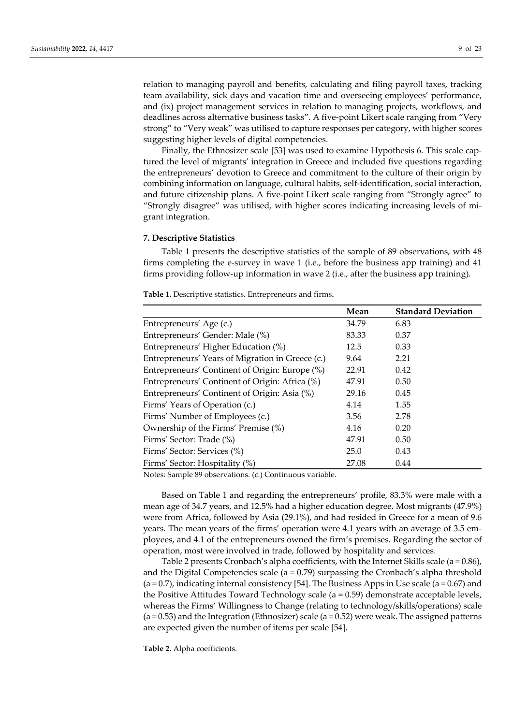relation to managing payroll and benefits, calculating and filing payroll taxes, tracking team availability, sick days and vacation time and overseeing employees' performance, and (ix) project management services in relation to managing projects, workflows, and deadlines across alternative business tasks". A five-point Likert scale ranging from "Very strong" to "Very weak" was utilised to capture responses per category, with higher scores suggesting higher levels of digital competencies.

Finally, the Ethnosizer scale [53] was used to examine Hypothesis 6. This scale captured the level of migrants' integration in Greece and included five questions regarding the entrepreneurs' devotion to Greece and commitment to the culture of their origin by combining information on language, cultural habits, self-identification, social interaction, and future citizenship plans. A five-point Likert scale ranging from "Strongly agree" to "Strongly disagree" was utilised, with higher scores indicating increasing levels of migrant integration.

#### **7. Descriptive Statistics**

Table 1 presents the descriptive statistics of the sample of 89 observations, with 48 firms completing the e-survey in wave 1 (i.e., before the business app training) and 41 firms providing follow-up information in wave 2 (i.e., after the business app training).

|                                                  | Mean  | <b>Standard Deviation</b> |
|--------------------------------------------------|-------|---------------------------|
| Entrepreneurs' Age (c.)                          | 34.79 | 6.83                      |
| Entrepreneurs' Gender: Male (%)                  | 83.33 | 0.37                      |
| Entrepreneurs' Higher Education (%)              | 12.5  | 0.33                      |
| Entrepreneurs' Years of Migration in Greece (c.) | 9.64  | 2.21                      |
| Entrepreneurs' Continent of Origin: Europe (%)   | 22.91 | 0.42                      |
| Entrepreneurs' Continent of Origin: Africa (%)   | 47.91 | 0.50                      |
| Entrepreneurs' Continent of Origin: Asia (%)     | 29.16 | 0.45                      |
| Firms' Years of Operation (c.)                   | 4.14  | 1.55                      |
| Firms' Number of Employees (c.)                  | 3.56  | 2.78                      |
| Ownership of the Firms' Premise (%)              | 4.16  | 0.20                      |
| Firms' Sector: Trade (%)                         | 47.91 | 0.50                      |
| Firms' Sector: Services (%)                      | 25.0  | 0.43                      |
| Firms' Sector: Hospitality (%)                   | 27.08 | 0.44                      |

**Table 1.** Descriptive statistics. Entrepreneurs and firms**.**

Notes: Sample 89 observations. (c.) Continuous variable.

Based on Table 1 and regarding the entrepreneurs' profile, 83.3% were male with a mean age of 34.7 years, and 12.5% had a higher education degree. Most migrants (47.9%) were from Africa, followed by Asia (29.1%), and had resided in Greece for a mean of 9.6 years. The mean years of the firms' operation were 4.1 years with an average of 3.5 employees, and 4.1 of the entrepreneurs owned the firm's premises. Regarding the sector of operation, most were involved in trade, followed by hospitality and services.

Table 2 presents Cronbach's alpha coefficients, with the Internet Skills scale ( $a = 0.86$ ), and the Digital Competencies scale ( $a = 0.79$ ) surpassing the Cronbach's alpha threshold  $(a = 0.7)$ , indicating internal consistency [54]. The Business Apps in Use scale  $(a = 0.67)$  and the Positive Attitudes Toward Technology scale ( $a = 0.59$ ) demonstrate acceptable levels, whereas the Firms' Willingness to Change (relating to technology/skills/operations) scale  $(a = 0.53)$  and the Integration (Ethnosizer) scale  $(a = 0.52)$  were weak. The assigned patterns are expected given the number of items per scale [54].

**Table 2.** Alpha coefficients.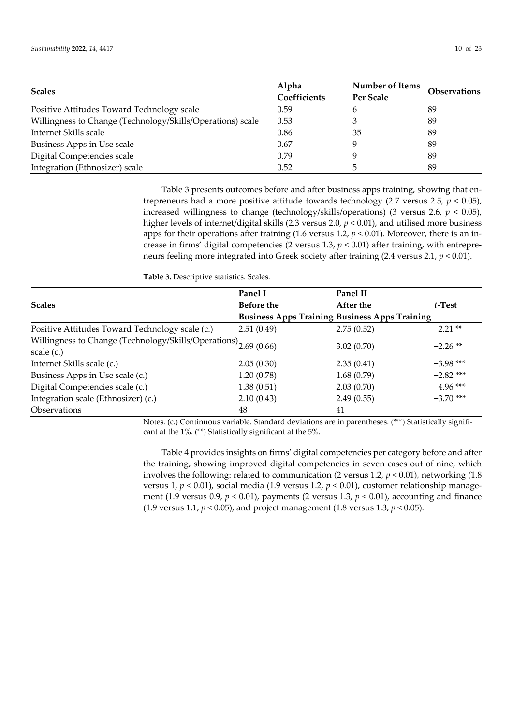| <b>Scales</b>                                              | Alpha<br>Coefficients | <b>Number of Items</b><br>Per Scale | <b>Observations</b> |
|------------------------------------------------------------|-----------------------|-------------------------------------|---------------------|
| Positive Attitudes Toward Technology scale                 | 0.59                  | h                                   | 89                  |
| Willingness to Change (Technology/Skills/Operations) scale | 0.53                  | З                                   | 89                  |
| Internet Skills scale                                      | 0.86                  | 35                                  | 89                  |
| Business Apps in Use scale                                 | 0.67                  |                                     | 89                  |
| Digital Competencies scale                                 | 0.79                  |                                     | 89                  |
| Integration (Ethnosizer) scale                             | 0.52                  |                                     | 89                  |

Table 3 presents outcomes before and after business apps training, showing that entrepreneurs had a more positive attitude towards technology (2.7 versus 2.5, *p* < 0.05), increased willingness to change (technology/skills/operations) (3 versus 2.6, *p* < 0.05), higher levels of internet/digital skills (2.3 versus 2.0, *p* < 0.01), and utilised more business apps for their operations after training (1.6 versus 1.2, *p* < 0.01). Moreover, there is an increase in firms' digital competencies (2 versus 1.3,  $p < 0.01$ ) after training, with entrepreneurs feeling more integrated into Greek society after training (2.4 versus 2.1, *p* < 0.01).

**Table 3.** Descriptive statistics. Scales.

|                                                                             | Panel I           | Panel II                                             |             |
|-----------------------------------------------------------------------------|-------------------|------------------------------------------------------|-------------|
| <b>Scales</b>                                                               | <b>Before the</b> | After the                                            | $t$ -Test   |
|                                                                             |                   | <b>Business Apps Training Business Apps Training</b> |             |
| Positive Attitudes Toward Technology scale (c.)                             | 2.51(0.49)        | 2.75(0.52)                                           | $-2.21$ **  |
| Willingness to Change (Technology/Skills/Operations) <sub>2.69</sub> (0.66) |                   | 3.02(0.70)                                           | $-2.26**$   |
| scale $(c.)$                                                                |                   |                                                      |             |
| Internet Skills scale (c.)                                                  | 2.05(0.30)        | 2.35(0.41)                                           | $-3.98$ *** |
| Business Apps in Use scale (c.)                                             | 1.20(0.78)        | 1.68(0.79)                                           | $-2.82$ *** |
| Digital Competencies scale (c.)                                             | 1.38(0.51)        | 2.03(0.70)                                           | $-4.96$ *** |
| Integration scale (Ethnosizer) (c.)                                         | 2.10(0.43)        | 2.49(0.55)                                           | $-3.70$ *** |
| Observations                                                                | 48                | 41                                                   |             |

Notes. (c.) Continuous variable. Standard deviations are in parentheses. (\*\*\*) Statistically significant at the 1%. (\*\*) Statistically significant at the 5%.

Table 4 provides insights on firms' digital competencies per category before and after the training, showing improved digital competencies in seven cases out of nine, which involves the following: related to communication (2 versus 1.2, *p* < 0.01), networking (1.8 versus 1, *p* < 0.01), social media (1.9 versus 1.2, *p* < 0.01), customer relationship management (1.9 versus 0.9, *p* < 0.01), payments (2 versus 1.3, *p* < 0.01), accounting and finance (1.9 versus 1.1, *p* < 0.05), and project management (1.8 versus 1.3, *p* < 0.05).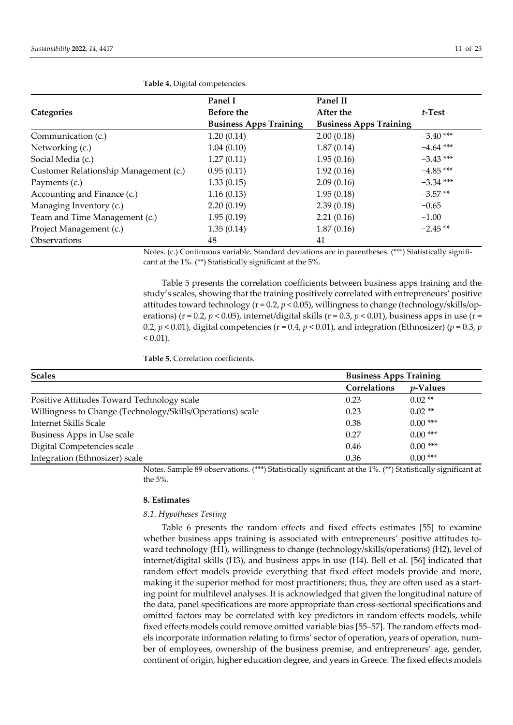|                                       | Panel I                       | Panel II                      |             |
|---------------------------------------|-------------------------------|-------------------------------|-------------|
| <b>Categories</b>                     | <b>Before the</b>             | After the                     | t-Test      |
|                                       | <b>Business Apps Training</b> | <b>Business Apps Training</b> |             |
| Communication (c.)                    | 1.20(0.14)                    | 2.00(0.18)                    | $-3.40$ *** |
| Networking (c.)                       | 1.04(0.10)                    | 1.87(0.14)                    | $-4.64$ *** |
| Social Media (c.)                     | 1.27(0.11)                    | 1.95(0.16)                    | $-3.43$ *** |
| Customer Relationship Management (c.) | 0.95(0.11)                    | 1.92(0.16)                    | $-4.85$ *** |
| Payments (c.)                         | 1.33(0.15)                    | 2.09(0.16)                    | $-3.34$ *** |
| Accounting and Finance (c.)           | 1.16(0.13)                    | 1.95(0.18)                    | $-3.57**$   |
| Managing Inventory (c.)               | 2.20(0.19)                    | 2.39(0.18)                    | $-0.65$     |
| Team and Time Management (c.)         | 1.95(0.19)                    | 2.21(0.16)                    | $-1.00$     |
| Project Management (c.)               | 1.35(0.14)                    | 1.87(0.16)                    | $-2.45**$   |
| <b>Observations</b>                   | 48                            | 41                            |             |

**Table 4.** Digital competencies.

Notes. (c.) Continuous variable. Standard deviations are in parentheses. (\*\*\*) Statistically significant at the 1%. (\*\*) Statistically significant at the 5%.

Table 5 presents the correlation coefficients between business apps training and the study's scales, showing that the training positively correlated with entrepreneurs' positive attitudes toward technology (r = 0.2, *p* < 0.05), willingness to change (technology/skills/operations) ( $r = 0.2$ ,  $p < 0.05$ ), internet/digital skills ( $r = 0.3$ ,  $p < 0.01$ ), business apps in use ( $r =$ 0.2,  $p < 0.01$ ), digital competencies ( $r = 0.4$ ,  $p < 0.01$ ), and integration (Ethnosizer) ( $p = 0.3$ ,  $p$  $< 0.01$ ).

**Table 5.** Correlation coefficients.

| <b>Scales</b>                                              | <b>Business Apps Training</b> |                  |
|------------------------------------------------------------|-------------------------------|------------------|
|                                                            | Correlations                  | <i>p</i> -Values |
| Positive Attitudes Toward Technology scale                 | 0.23                          | $0.02**$         |
| Willingness to Change (Technology/Skills/Operations) scale | 0.23                          | $0.02$ **        |
| Internet Skills Scale                                      | 0.38                          | $0.00***$        |
| Business Apps in Use scale                                 | 0.27                          | $0.00***$        |
| Digital Competencies scale                                 | 0.46                          | $0.00***$        |
| Integration (Ethnosizer) scale                             | 0.36                          | $0.00***$        |

Notes. Sample 89 observations. (\*\*\*) Statistically significant at the 1%. (\*\*) Statistically significant at the 5%.

# **8. Estimates**

# *8.1. Hypotheses Testing*

Table 6 presents the random effects and fixed effects estimates [55] to examine whether business apps training is associated with entrepreneurs' positive attitudes toward technology (H1), willingness to change (technology/skills/operations) (H2), level of internet/digital skills (H3), and business apps in use (H4). Bell et al. [56] indicated that random effect models provide everything that fixed effect models provide and more, making it the superior method for most practitioners; thus, they are often used as a starting point for multilevel analyses. It is acknowledged that given the longitudinal nature of the data, panel specifications are more appropriate than cross-sectional specifications and omitted factors may be correlated with key predictors in random effects models, while fixed effects models could remove omitted variable bias [55–57]. The random effects models incorporate information relating to firms' sector of operation, years of operation, number of employees, ownership of the business premise, and entrepreneurs' age, gender, continent of origin, higher education degree, and years in Greece. The fixed effects models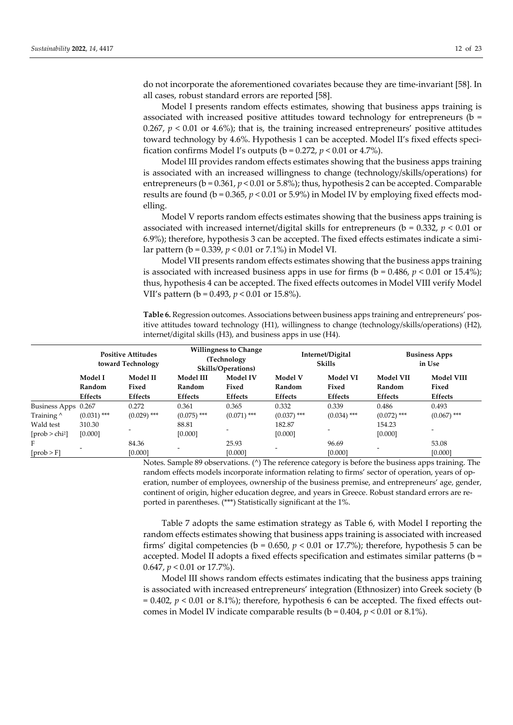do not incorporate the aforementioned covariates because they are time-invariant [58]. In all cases, robust standard errors are reported [58].

Model I presents random effects estimates, showing that business apps training is associated with increased positive attitudes toward technology for entrepreneurs ( $b =$ 0.267,  $p < 0.01$  or 4.6%); that is, the training increased entrepreneurs' positive attitudes toward technology by 4.6%. Hypothesis 1 can be accepted. Model II's fixed effects specification confirms Model I's outputs ( $b = 0.272$ ,  $p < 0.01$  or 4.7%).

Model III provides random effects estimates showing that the business apps training is associated with an increased willingness to change (technology/skills/operations) for entrepreneurs ( $b = 0.361$ ,  $p < 0.01$  or 5.8%); thus, hypothesis 2 can be accepted. Comparable results are found ( $b = 0.365$ ,  $p < 0.01$  or 5.9%) in Model IV by employing fixed effects modelling.

Model V reports random effects estimates showing that the business apps training is associated with increased internet/digital skills for entrepreneurs (b = 0.332, *p* < 0.01 or 6.9%); therefore, hypothesis 3 can be accepted. The fixed effects estimates indicate a similar pattern (b = 0.339, *p* < 0.01 or 7.1%) in Model VI.

Model VII presents random effects estimates showing that the business apps training is associated with increased business apps in use for firms ( $b = 0.486$ ,  $p \le 0.01$  or 15.4%); thus, hypothesis 4 can be accepted. The fixed effects outcomes in Model VIII verify Model VII's pattern (b = 0.493, *p* < 0.01 or 15.8%).

**Table 6.** Regression outcomes. Associations between business apps training and entrepreneurs' positive attitudes toward technology (H1), willingness to change (technology/skills/operations) (H2), internet/digital skills (H3), and business apps in use (H4).

|                                          | <b>Positive Attitudes</b><br>toward Technology |                                     | <b>Willingness to Change</b><br>(Technology<br>Skills/Operations) |                                            |                                     | Internet/Digital<br><b>Skills</b>   | <b>Business Apps</b><br>in Use        |                                       |
|------------------------------------------|------------------------------------------------|-------------------------------------|-------------------------------------------------------------------|--------------------------------------------|-------------------------------------|-------------------------------------|---------------------------------------|---------------------------------------|
|                                          | Model I<br>Random<br>Effects                   | <b>Model II</b><br>Fixed<br>Effects | Model III<br>Random<br>Effects                                    | <b>Model IV</b><br>Fixed<br><b>Effects</b> | <b>Model V</b><br>Random<br>Effects | Model VI<br>Fixed<br><b>Effects</b> | <b>Model VII</b><br>Random<br>Effects | <b>Model VIII</b><br>Fixed<br>Effects |
| Business Apps 0.267<br>Training $\wedge$ | $(0.031)$ ***                                  | 0.272<br>$(0.029)$ ***              | 0.361<br>$(0.075)$ ***                                            | 0.365<br>$(0.071)$ ***                     | 0.332<br>$(0.037)$ ***              | 0.339<br>$(0.034)$ ***              | 0.486<br>$(0.072)$ ***                | 0.493<br>$(0.067)$ ***                |
| Wald test<br>$[prob > chi^2]$            | 310.30<br>[0.000]                              |                                     | 88.81<br>[0.000]                                                  |                                            | 182.87<br>[0.000]                   |                                     | 154.23<br>[0.000]                     | $\overline{\phantom{a}}$              |
| F<br>[prob > F]                          |                                                | 84.36<br>[0.000]                    |                                                                   | 25.93<br>[0.000]                           |                                     | 96.69<br>[0.000]                    |                                       | 53.08<br>[0.000]                      |

Notes. Sample 89 observations. (^) The reference category is before the business apps training. The random effects models incorporate information relating to firms' sector of operation, years of operation, number of employees, ownership of the business premise, and entrepreneurs' age, gender, continent of origin, higher education degree, and years in Greece. Robust standard errors are reported in parentheses. (\*\*\*) Statistically significant at the 1%.

Table 7 adopts the same estimation strategy as Table 6, with Model I reporting the random effects estimates showing that business apps training is associated with increased firms' digital competencies (b = 0.650, *p* < 0.01 or 17.7%); therefore, hypothesis 5 can be accepted. Model II adopts a fixed effects specification and estimates similar patterns (b = 0.647, *p* < 0.01 or 17.7%).

Model III shows random effects estimates indicating that the business apps training is associated with increased entrepreneurs' integration (Ethnosizer) into Greek society (b  $= 0.402$ ,  $p < 0.01$  or 8.1%); therefore, hypothesis 6 can be accepted. The fixed effects outcomes in Model IV indicate comparable results (b = 0.404, *p* < 0.01 or 8.1%).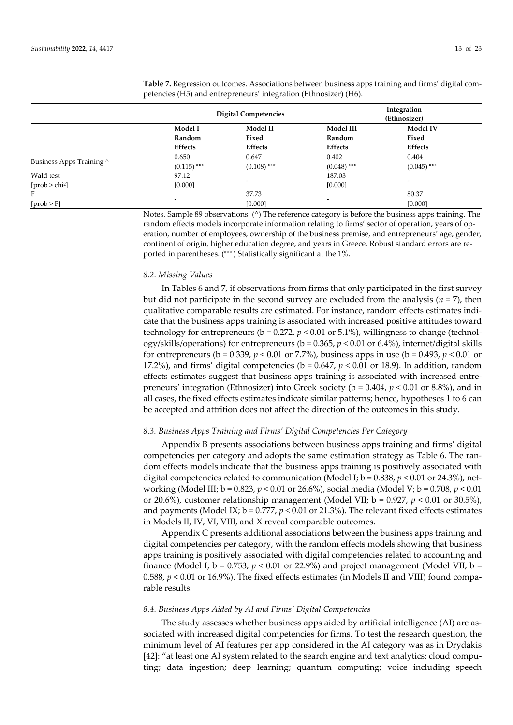|                          |               | <b>Digital Competencies</b> |                          | Integration<br>(Ethnosizer) |  |
|--------------------------|---------------|-----------------------------|--------------------------|-----------------------------|--|
|                          | Model I       | Model II                    | Model III                | Model IV                    |  |
|                          | Random        | Fixed                       | Random                   | Fixed                       |  |
|                          | Effects       | <b>Effects</b>              | Effects                  | Effects                     |  |
|                          | 0.650         | 0.647                       | 0.402                    | 0.404                       |  |
| Business Apps Training ^ | $(0.115)$ *** | $(0.108)$ ***               | $(0.048)$ ***            | $(0.045)$ ***               |  |
| Wald test                | 97.12         |                             | 187.03                   |                             |  |
| [ $prob > chi2$ ]        | [0.000]       | -                           | [0.000]                  | -                           |  |
| F                        |               | 37.73                       |                          | 80.37                       |  |
| [prob > F]               |               | [0.000]                     | $\overline{\phantom{a}}$ | [0.000]                     |  |

**Table 7.** Regression outcomes. Associations between business apps training and firms' digital competencies (H5) and entrepreneurs' integration (Ethnosizer) (H6).

Notes. Sample 89 observations. (^) The reference category is before the business apps training. The random effects models incorporate information relating to firms' sector of operation, years of operation, number of employees, ownership of the business premise, and entrepreneurs' age, gender, continent of origin, higher education degree, and years in Greece. Robust standard errors are reported in parentheses. (\*\*\*) Statistically significant at the 1%.

#### *8.2. Missing Values*

In Tables 6 and 7, if observations from firms that only participated in the first survey but did not participate in the second survey are excluded from the analysis  $(n = 7)$ , then qualitative comparable results are estimated. For instance, random effects estimates indicate that the business apps training is associated with increased positive attitudes toward technology for entrepreneurs ( $b = 0.272$ ,  $p < 0.01$  or 5.1%), willingness to change (technology/skills/operations) for entrepreneurs (b = 0.365, *p* < 0.01 or 6.4%), internet/digital skills for entrepreneurs ( $b = 0.339$ ,  $p < 0.01$  or 7.7%), business apps in use ( $b = 0.493$ ,  $p < 0.01$  or 17.2%), and firms' digital competencies ( $b = 0.647$ ,  $p < 0.01$  or 18.9). In addition, random effects estimates suggest that business apps training is associated with increased entrepreneurs' integration (Ethnosizer) into Greek society (b = 0.404, *p* < 0.01 or 8.8%), and in all cases, the fixed effects estimates indicate similar patterns; hence, hypotheses 1 to 6 can be accepted and attrition does not affect the direction of the outcomes in this study.

#### *8.3. Business Apps Training and Firms' Digital Competencies Per Category*

Appendix B presents associations between business apps training and firms' digital competencies per category and adopts the same estimation strategy as Table 6. The random effects models indicate that the business apps training is positively associated with digital competencies related to communication (Model I;  $b = 0.838$ ,  $p < 0.01$  or 24.3%), networking (Model III; b = 0.823, *p* < 0.01 or 26.6%), social media (Model V; b = 0.708, *p* < 0.01 or 20.6%), customer relationship management (Model VII;  $b = 0.927$ ,  $p < 0.01$  or 30.5%), and payments (Model IX;  $b = 0.777$ ,  $p < 0.01$  or 21.3%). The relevant fixed effects estimates in Models II, IV, VI, VIII, and X reveal comparable outcomes.

Appendix C presents additional associations between the business apps training and digital competencies per category, with the random effects models showing that business apps training is positively associated with digital competencies related to accounting and finance (Model I;  $b = 0.753$ ,  $p < 0.01$  or 22.9%) and project management (Model VII;  $b =$ 0.588,  $p < 0.01$  or 16.9%). The fixed effects estimates (in Models II and VIII) found comparable results.

#### *8.4. Business Apps Aided by AI and Firms' Digital Competencies*

The study assesses whether business apps aided by artificial intelligence (AI) are associated with increased digital competencies for firms. To test the research question, the minimum level of AI features per app considered in the AI category was as in Drydakis [42]: "at least one AI system related to the search engine and text analytics; cloud computing; data ingestion; deep learning; quantum computing; voice including speech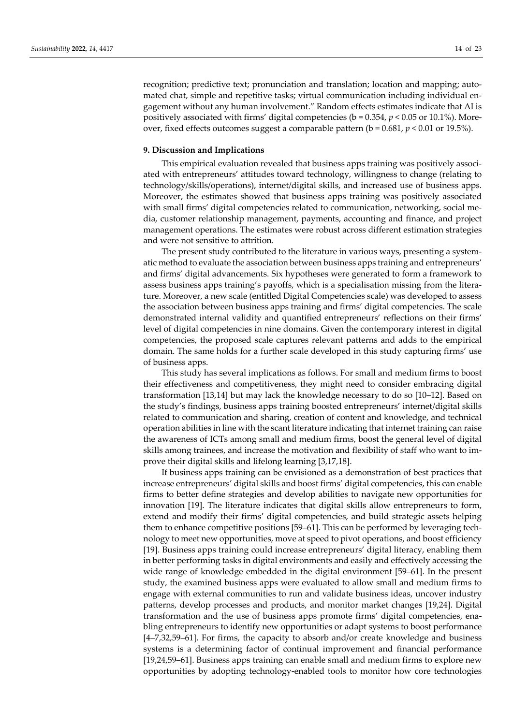recognition; predictive text; pronunciation and translation; location and mapping; automated chat, simple and repetitive tasks; virtual communication including individual engagement without any human involvement." Random effects estimates indicate that AI is positively associated with firms' digital competencies (b = 0.354, *p* < 0.05 or 10.1%). Moreover, fixed effects outcomes suggest a comparable pattern  $(b = 0.681, p < 0.01$  or 19.5%).

## **9. Discussion and Implications**

This empirical evaluation revealed that business apps training was positively associated with entrepreneurs' attitudes toward technology, willingness to change (relating to technology/skills/operations), internet/digital skills, and increased use of business apps. Moreover, the estimates showed that business apps training was positively associated with small firms' digital competencies related to communication, networking, social media, customer relationship management, payments, accounting and finance, and project management operations. The estimates were robust across different estimation strategies and were not sensitive to attrition.

The present study contributed to the literature in various ways, presenting a systematic method to evaluate the association between business apps training and entrepreneurs' and firms' digital advancements. Six hypotheses were generated to form a framework to assess business apps training's payoffs, which is a specialisation missing from the literature. Moreover, a new scale (entitled Digital Competencies scale) was developed to assess the association between business apps training and firms' digital competencies. The scale demonstrated internal validity and quantified entrepreneurs' reflections on their firms' level of digital competencies in nine domains. Given the contemporary interest in digital competencies, the proposed scale captures relevant patterns and adds to the empirical domain. The same holds for a further scale developed in this study capturing firms' use of business apps.

This study has several implications as follows. For small and medium firms to boost their effectiveness and competitiveness, they might need to consider embracing digital transformation [13,14] but may lack the knowledge necessary to do so [10–12]. Based on the study's findings, business apps training boosted entrepreneurs' internet/digital skills related to communication and sharing, creation of content and knowledge, and technical operation abilities in line with the scant literature indicating that internet training can raise the awareness of ICTs among small and medium firms, boost the general level of digital skills among trainees, and increase the motivation and flexibility of staff who want to improve their digital skills and lifelong learning [3,17,18].

If business apps training can be envisioned as a demonstration of best practices that increase entrepreneurs' digital skills and boost firms' digital competencies, this can enable firms to better define strategies and develop abilities to navigate new opportunities for innovation [19]. The literature indicates that digital skills allow entrepreneurs to form, extend and modify their firms' digital competencies, and build strategic assets helping them to enhance competitive positions [59–61]. This can be performed by leveraging technology to meet new opportunities, move at speed to pivot operations, and boost efficiency [19]. Business apps training could increase entrepreneurs' digital literacy, enabling them in better performing tasks in digital environments and easily and effectively accessing the wide range of knowledge embedded in the digital environment [59–61]. In the present study, the examined business apps were evaluated to allow small and medium firms to engage with external communities to run and validate business ideas, uncover industry patterns, develop processes and products, and monitor market changes [19,24]. Digital transformation and the use of business apps promote firms' digital competencies, enabling entrepreneurs to identify new opportunities or adapt systems to boost performance [4–7,32,59–61]. For firms, the capacity to absorb and/or create knowledge and business systems is a determining factor of continual improvement and financial performance [19,24,59–61]. Business apps training can enable small and medium firms to explore new opportunities by adopting technology-enabled tools to monitor how core technologies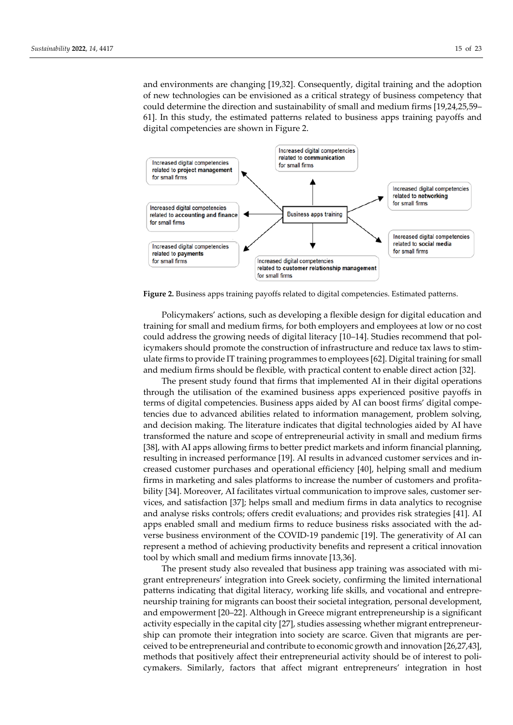and environments are changing [19,32]. Consequently, digital training and the adoption of new technologies can be envisioned as a critical strategy of business competency that could determine the direction and sustainability of small and medium firms [19,24,25,59– 61]. In this study, the estimated patterns related to business apps training payoffs and digital competencies are shown in Figure 2.



**Figure 2.** Business apps training payoffs related to digital competencies. Estimated patterns.

Policymakers' actions, such as developing a flexible design for digital education and training for small and medium firms, for both employers and employees at low or no cost could address the growing needs of digital literacy [10–14]. Studies recommend that policymakers should promote the construction of infrastructure and reduce tax laws to stimulate firms to provide IT training programmes to employees [62]. Digital training for small and medium firms should be flexible, with practical content to enable direct action [32].

The present study found that firms that implemented AI in their digital operations through the utilisation of the examined business apps experienced positive payoffs in terms of digital competencies. Business apps aided by AI can boost firms' digital competencies due to advanced abilities related to information management, problem solving, and decision making. The literature indicates that digital technologies aided by AI have transformed the nature and scope of entrepreneurial activity in small and medium firms [38], with AI apps allowing firms to better predict markets and inform financial planning, resulting in increased performance [19]. AI results in advanced customer services and increased customer purchases and operational efficiency [40], helping small and medium firms in marketing and sales platforms to increase the number of customers and profitability [34]. Moreover, AI facilitates virtual communication to improve sales, customer services, and satisfaction [37]; helps small and medium firms in data analytics to recognise and analyse risks controls; offers credit evaluations; and provides risk strategies [41]. AI apps enabled small and medium firms to reduce business risks associated with the adverse business environment of the COVID-19 pandemic [19]. The generativity of AI can represent a method of achieving productivity benefits and represent a critical innovation tool by which small and medium firms innovate [13,36].

The present study also revealed that business app training was associated with migrant entrepreneurs' integration into Greek society, confirming the limited international patterns indicating that digital literacy, working life skills, and vocational and entrepreneurship training for migrants can boost their societal integration, personal development, and empowerment [20–22]. Although in Greece migrant entrepreneurship is a significant activity especially in the capital city [27], studies assessing whether migrant entrepreneurship can promote their integration into society are scarce. Given that migrants are perceived to be entrepreneurial and contribute to economic growth and innovation [26,27,43], methods that positively affect their entrepreneurial activity should be of interest to policymakers. Similarly, factors that affect migrant entrepreneurs' integration in host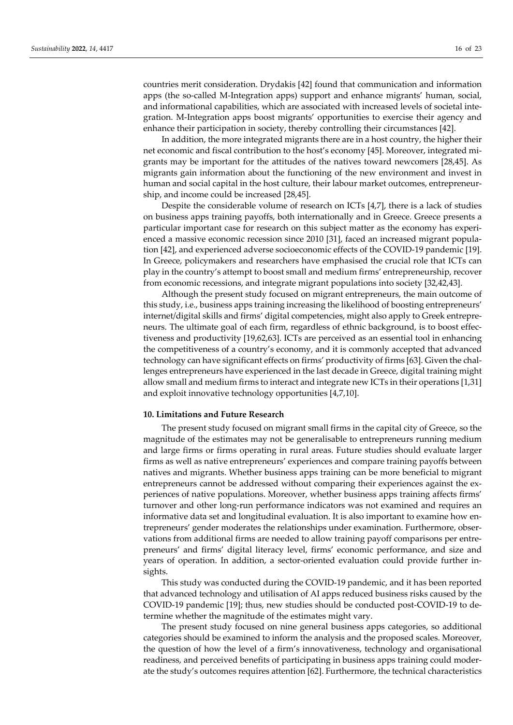countries merit consideration. Drydakis [42] found that communication and information apps (the so-called M-Integration apps) support and enhance migrants' human, social, and informational capabilities, which are associated with increased levels of societal integration. M-Integration apps boost migrants' opportunities to exercise their agency and enhance their participation in society, thereby controlling their circumstances [42].

In addition, the more integrated migrants there are in a host country, the higher their net economic and fiscal contribution to the host's economy [45]. Moreover, integrated migrants may be important for the attitudes of the natives toward newcomers [28,45]. As migrants gain information about the functioning of the new environment and invest in human and social capital in the host culture, their labour market outcomes, entrepreneurship, and income could be increased [28,45].

Despite the considerable volume of research on ICTs [4,7], there is a lack of studies on business apps training payoffs, both internationally and in Greece. Greece presents a particular important case for research on this subject matter as the economy has experienced a massive economic recession since 2010 [31], faced an increased migrant population [42], and experienced adverse socioeconomic effects of the COVID-19 pandemic [19]. In Greece, policymakers and researchers have emphasised the crucial role that ICTs can play in the country's attempt to boost small and medium firms' entrepreneurship, recover from economic recessions, and integrate migrant populations into society [32,42,43].

Although the present study focused on migrant entrepreneurs, the main outcome of this study, i.e., business apps training increasing the likelihood of boosting entrepreneurs' internet/digital skills and firms' digital competencies, might also apply to Greek entrepreneurs. The ultimate goal of each firm, regardless of ethnic background, is to boost effectiveness and productivity [19,62,63]. ICTs are perceived as an essential tool in enhancing the competitiveness of a country's economy, and it is commonly accepted that advanced technology can have significant effects on firms' productivity of firms [63]. Given the challenges entrepreneurs have experienced in the last decade in Greece, digital training might allow small and medium firms to interact and integrate new ICTs in their operations [1,31] and exploit innovative technology opportunities [4,7,10].

#### **10. Limitations and Future Research**

The present study focused on migrant small firms in the capital city of Greece, so the magnitude of the estimates may not be generalisable to entrepreneurs running medium and large firms or firms operating in rural areas. Future studies should evaluate larger firms as well as native entrepreneurs' experiences and compare training payoffs between natives and migrants. Whether business apps training can be more beneficial to migrant entrepreneurs cannot be addressed without comparing their experiences against the experiences of native populations. Moreover, whether business apps training affects firms' turnover and other long-run performance indicators was not examined and requires an informative data set and longitudinal evaluation. It is also important to examine how entrepreneurs' gender moderates the relationships under examination. Furthermore, observations from additional firms are needed to allow training payoff comparisons per entrepreneurs' and firms' digital literacy level, firms' economic performance, and size and years of operation. In addition, a sector-oriented evaluation could provide further insights.

This study was conducted during the COVID-19 pandemic, and it has been reported that advanced technology and utilisation of AI apps reduced business risks caused by the COVID-19 pandemic [19]; thus, new studies should be conducted post-COVID-19 to determine whether the magnitude of the estimates might vary.

The present study focused on nine general business apps categories, so additional categories should be examined to inform the analysis and the proposed scales. Moreover, the question of how the level of a firm's innovativeness, technology and organisational readiness, and perceived benefits of participating in business apps training could moderate the study's outcomes requires attention [62]. Furthermore, the technical characteristics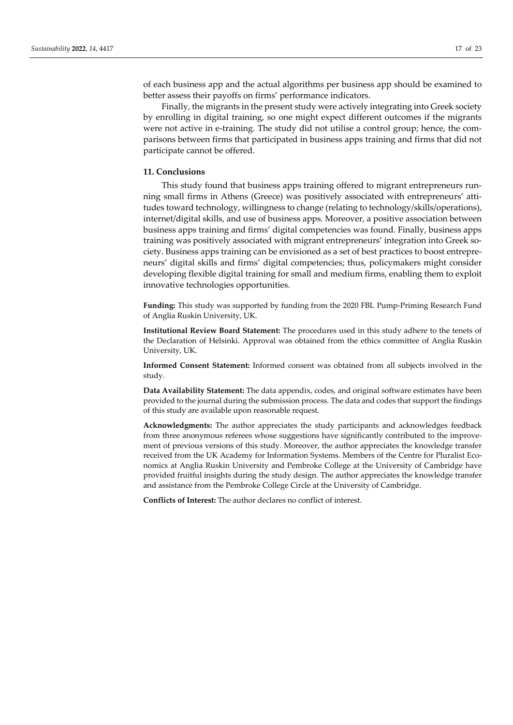of each business app and the actual algorithms per business app should be examined to better assess their payoffs on firms' performance indicators.

Finally, the migrants in the present study were actively integrating into Greek society by enrolling in digital training, so one might expect different outcomes if the migrants were not active in e-training. The study did not utilise a control group; hence, the comparisons between firms that participated in business apps training and firms that did not participate cannot be offered.

#### **11. Conclusions**

This study found that business apps training offered to migrant entrepreneurs running small firms in Athens (Greece) was positively associated with entrepreneurs' attitudes toward technology, willingness to change (relating to technology/skills/operations), internet/digital skills, and use of business apps. Moreover, a positive association between business apps training and firms' digital competencies was found. Finally, business apps training was positively associated with migrant entrepreneurs' integration into Greek society. Business apps training can be envisioned as a set of best practices to boost entrepreneurs' digital skills and firms' digital competencies; thus, policymakers might consider developing flexible digital training for small and medium firms, enabling them to exploit innovative technologies opportunities.

**Funding:** This study was supported by funding from the 2020 FBL Pump-Priming Research Fund of Anglia Ruskin University, UK.

**Institutional Review Board Statement:** The procedures used in this study adhere to the tenets of the Declaration of Helsinki. Approval was obtained from the ethics committee of Anglia Ruskin University, UK.

**Informed Consent Statement:** Informed consent was obtained from all subjects involved in the study.

**Data Availability Statement:** The data appendix, codes, and original software estimates have been provided to the journal during the submission process. The data and codes that support the findings of this study are available upon reasonable request.

**Acknowledgments:** The author appreciates the study participants and acknowledges feedback from three anonymous referees whose suggestions have significantly contributed to the improvement of previous versions of this study. Moreover, the author appreciates the knowledge transfer received from the UK Academy for Information Systems. Members of the Centre for Pluralist Economics at Anglia Ruskin University and Pembroke College at the University of Cambridge have provided fruitful insights during the study design. The author appreciates the knowledge transfer and assistance from the Pembroke College Circle at the University of Cambridge.

**Conflicts of Interest:** The author declares no conflict of interest.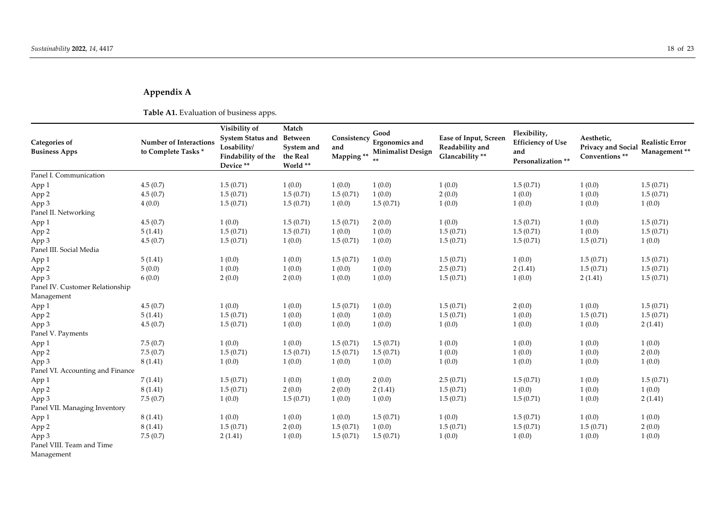# **Appendix A**

**Table A1.** Evaluation of business apps.

| <b>Categories of</b><br><b>Business Apps</b> | <b>Number of Interactions</b><br>to Complete Tasks* | Visibility of<br>System Status and<br>Losability/<br>Findability of the<br>Device ** | Match<br><b>Between</b><br>System and<br>the Real<br>World ** | Consistency<br>and<br>Mapping ** | Good<br>Ergonomics and<br><b>Minimalist Design</b> | Ease of Input, Screen<br>Readability and<br>Glancability ** | Flexibility,<br><b>Efficiency of Use</b><br>and<br>Personalization ** | Aesthetic,<br>Privacy and Social<br>Conventions ** | <b>Realistic Error</b><br>Management** |
|----------------------------------------------|-----------------------------------------------------|--------------------------------------------------------------------------------------|---------------------------------------------------------------|----------------------------------|----------------------------------------------------|-------------------------------------------------------------|-----------------------------------------------------------------------|----------------------------------------------------|----------------------------------------|
| Panel I. Communication                       |                                                     |                                                                                      |                                                               |                                  |                                                    |                                                             |                                                                       |                                                    |                                        |
| App 1                                        | 4.5(0.7)                                            | 1.5(0.71)                                                                            | 1(0.0)                                                        | 1(0.0)                           | 1(0.0)                                             | 1(0.0)                                                      | 1.5(0.71)                                                             | 1(0.0)                                             | 1.5(0.71)                              |
| App 2                                        | 4.5(0.7)                                            | 1.5(0.71)                                                                            | 1.5(0.71)                                                     | 1.5(0.71)                        | 1(0.0)                                             | 2(0.0)                                                      | 1(0.0)                                                                | 1(0.0)                                             | 1.5(0.71)                              |
| App 3                                        | 4(0.0)                                              | 1.5(0.71)                                                                            | 1.5(0.71)                                                     | 1(0.0)                           | 1.5(0.71)                                          | 1(0.0)                                                      | 1(0.0)                                                                | 1(0.0)                                             | 1(0.0)                                 |
| Panel II. Networking                         |                                                     |                                                                                      |                                                               |                                  |                                                    |                                                             |                                                                       |                                                    |                                        |
| App 1                                        | 4.5(0.7)                                            | 1(0.0)                                                                               | 1.5(0.71)                                                     | 1.5(0.71)                        | 2(0.0)                                             | 1(0.0)                                                      | 1.5(0.71)                                                             | 1(0.0)                                             | 1.5(0.71)                              |
| App 2                                        | 5(1.41)                                             | 1.5(0.71)                                                                            | 1.5(0.71)                                                     | 1(0.0)                           | 1(0.0)                                             | 1.5(0.71)                                                   | 1.5(0.71)                                                             | 1(0.0)                                             | 1.5(0.71)                              |
| App 3                                        | 4.5(0.7)                                            | 1.5(0.71)                                                                            | 1(0.0)                                                        | 1.5(0.71)                        | 1(0.0)                                             | 1.5(0.71)                                                   | 1.5(0.71)                                                             | 1.5(0.71)                                          | 1(0.0)                                 |
| Panel III. Social Media                      |                                                     |                                                                                      |                                                               |                                  |                                                    |                                                             |                                                                       |                                                    |                                        |
| App 1                                        | 5(1.41)                                             | 1(0.0)                                                                               | 1(0.0)                                                        | 1.5(0.71)                        | 1(0.0)                                             | 1.5(0.71)                                                   | 1(0.0)                                                                | 1.5(0.71)                                          | 1.5(0.71)                              |
| App 2                                        | 5(0.0)                                              | 1(0.0)                                                                               | 1(0.0)                                                        | 1(0.0)                           | 1(0.0)                                             | 2.5(0.71)                                                   | 2(1.41)                                                               | 1.5(0.71)                                          | 1.5(0.71)                              |
| App 3                                        | 6(0.0)                                              | 2(0.0)                                                                               | 2(0.0)                                                        | 1(0.0)                           | 1(0.0)                                             | 1.5(0.71)                                                   | 1(0.0)                                                                | 2(1.41)                                            | 1.5(0.71)                              |
| Panel IV. Customer Relationship              |                                                     |                                                                                      |                                                               |                                  |                                                    |                                                             |                                                                       |                                                    |                                        |
| Management                                   |                                                     |                                                                                      |                                                               |                                  |                                                    |                                                             |                                                                       |                                                    |                                        |
| App 1                                        | 4.5(0.7)                                            | 1(0.0)                                                                               | 1(0.0)                                                        | 1.5(0.71)                        | 1(0.0)                                             | 1.5(0.71)                                                   | 2(0.0)                                                                | 1(0.0)                                             | 1.5(0.71)                              |
| App 2                                        | 5(1.41)                                             | 1.5(0.71)                                                                            | 1(0.0)                                                        | 1(0.0)                           | 1(0.0)                                             | 1.5(0.71)                                                   | 1(0.0)                                                                | 1.5(0.71)                                          | 1.5(0.71)                              |
| App 3                                        | 4.5(0.7)                                            | 1.5(0.71)                                                                            | 1(0.0)                                                        | 1(0.0)                           | 1(0.0)                                             | 1(0.0)                                                      | 1(0.0)                                                                | 1(0.0)                                             | 2(1.41)                                |
| Panel V. Payments                            |                                                     |                                                                                      |                                                               |                                  |                                                    |                                                             |                                                                       |                                                    |                                        |
| App 1                                        | 7.5(0.7)                                            | 1(0.0)                                                                               | 1(0.0)                                                        | 1.5(0.71)                        | 1.5(0.71)                                          | 1(0.0)                                                      | 1(0.0)                                                                | 1(0.0)                                             | 1(0.0)                                 |
| App 2                                        | 7.5(0.7)                                            | 1.5(0.71)                                                                            | 1.5(0.71)                                                     | 1.5(0.71)                        | 1.5(0.71)                                          | 1(0.0)                                                      | 1(0.0)                                                                | 1(0.0)                                             | 2(0.0)                                 |
| App 3                                        | 8(1.41)                                             | 1(0.0)                                                                               | 1(0.0)                                                        | 1(0.0)                           | 1(0.0)                                             | 1(0.0)                                                      | 1(0.0)                                                                | 1(0.0)                                             | 1(0.0)                                 |
| Panel VI. Accounting and Finance             |                                                     |                                                                                      |                                                               |                                  |                                                    |                                                             |                                                                       |                                                    |                                        |
| App 1                                        | 7(1.41)                                             | 1.5(0.71)                                                                            | 1(0.0)                                                        | 1(0.0)                           | 2(0.0)                                             | 2.5(0.71)                                                   | 1.5(0.71)                                                             | 1(0.0)                                             | 1.5(0.71)                              |
| App 2                                        | 8(1.41)                                             | 1.5(0.71)                                                                            | 2(0.0)                                                        | 2(0.0)                           | 2(1.41)                                            | 1.5(0.71)                                                   | 1(0.0)                                                                | 1(0.0)                                             | 1(0.0)                                 |
| App 3                                        | 7.5(0.7)                                            | 1(0.0)                                                                               | 1.5(0.71)                                                     | 1(0.0)                           | 1(0.0)                                             | 1.5(0.71)                                                   | 1.5(0.71)                                                             | 1(0.0)                                             | 2(1.41)                                |
| Panel VII. Managing Inventory                |                                                     |                                                                                      |                                                               |                                  |                                                    |                                                             |                                                                       |                                                    |                                        |
| App 1                                        | 8(1.41)                                             | 1(0.0)                                                                               | 1(0.0)                                                        | 1(0.0)                           | 1.5(0.71)                                          | 1(0.0)                                                      | 1.5(0.71)                                                             | 1(0.0)                                             | 1(0.0)                                 |
| App 2                                        | 8(1.41)                                             | 1.5(0.71)                                                                            | 2(0.0)                                                        | 1.5(0.71)                        | 1(0.0)                                             | 1.5(0.71)                                                   | 1.5(0.71)                                                             | 1.5(0.71)                                          | 2(0.0)                                 |
| App 3                                        | 7.5(0.7)                                            | 2(1.41)                                                                              | 1(0.0)                                                        | 1.5(0.71)                        | 1.5(0.71)                                          | 1(0.0)                                                      | 1(0.0)                                                                | 1(0.0)                                             | 1(0.0)                                 |
| Panel VIII. Team and Time                    |                                                     |                                                                                      |                                                               |                                  |                                                    |                                                             |                                                                       |                                                    |                                        |

Management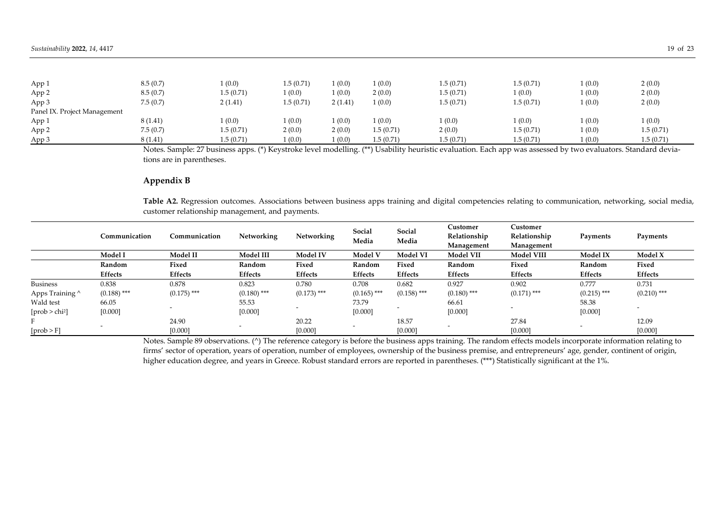| App 1                        | 8.5(0.7) | (0.0)     | 1.5(0.71) | (0.0)   | (0.0)     | 1.5(0.71) | 1.5(0.71) | (0.0)  | 2(0.0)    |
|------------------------------|----------|-----------|-----------|---------|-----------|-----------|-----------|--------|-----------|
| App 2                        | 8.5(0.7) | 1.5(0.71) | (0.0)     | (0.0)   | 2(0.0)    | 1.5(0.71) | 1(0.0)    | 1(0.0) | 2(0.0)    |
| App 3                        | 7.5(0.7) | 2(1.41)   | 1.5(0.71) | 2(1.41) | (0.0)     | 1.5(0.71) | 1.5(0.71) | 1(0.0) | 2(0.0)    |
| Panel IX. Project Management |          |           |           |         |           |           |           |        |           |
| App 1                        | 8(1.41)  | (0.0)     | (0.0)     | 1(0.0)  | (0.0)     | (0.0)     | 1(0.0)    | (0.0)  | (0.0)     |
| App 2                        | 7.5(0.7) | 1.5(0.71) | 2(0.0)    | 2(0.0)  | 1.5(0.71) | 2(0.0)    | 1.5(0.71) | 1(0.0) | 1.5(0.71) |
| App 3                        | 8(1.41)  | 1.5(0.71) | (0.0)     | (0.0)   | 1.5(0.71) | 1.5(0.71) | 1.5(0.71) | 1(0.0) | 1.5(0.71) |

Notes. Sample: 27 business apps. (\*) Keystroke level modelling. (\*\*) Usability heuristic evaluation. Each app was assessed by two evaluators. Standard deviations are in parentheses.

# **Appendix B**

**Table A2.** Regression outcomes. Associations between business apps training and digital competencies relating to communication, networking, social media, customer relationship management, and payments.

|                  | Communication  | Communication  | Networking     | Networking     | Social<br>Media | Social<br>Media | Customer<br>Relationship<br>Management | Customer<br>Relationship<br>Management | Payments      | Payments       |
|------------------|----------------|----------------|----------------|----------------|-----------------|-----------------|----------------------------------------|----------------------------------------|---------------|----------------|
|                  | Model I        | Model II       | Model III      | Model IV       | Model V         | <b>Model VI</b> | <b>Model VII</b>                       | <b>Model VIII</b>                      | Model IX      | Model X        |
|                  | Random         | Fixed          | Random         | Fixed          | Random          | Fixed           | Random                                 | Fixed                                  | Random        | Fixed          |
|                  | <b>Effects</b> | <b>Effects</b> | <b>Effects</b> | <b>Effects</b> | <b>Effects</b>  | <b>Effects</b>  | Effects                                | Effects                                | Effects       | <b>Effects</b> |
| <b>Business</b>  | 0.838          | 0.878          | 0.823          | 0.780          | 0.708           | 0.682           | 0.927                                  | 0.902                                  | 0.777         | 0.731          |
| Apps Training ^  | $(0.188)$ ***  | $(0.175)$ ***  | $(0.180)$ ***  | $(0.173)$ ***  | $(0.165)$ ***   | $(0.158)$ ***   | $(0.180)$ ***                          | $(0.171)$ ***                          | $(0.215)$ *** | $(0.210)$ ***  |
| Wald test        | 66.05          |                | 55.53          |                | 73.79           |                 | 66.61                                  |                                        | 58.38         |                |
| $[prob > chi^2]$ | [0.000]        |                | [0.000]        |                | [0.000]         |                 | [0.000]                                |                                        | [0.000]       |                |
|                  |                | 24.90          |                | 20.22          |                 | 18.57           |                                        | 27.84                                  |               | 12.09          |
| [prob > F]       |                | [0.000]        |                | [0.000]        |                 | [0.000]         |                                        | [0.000]                                |               | [0.000]        |

Notes. Sample 89 observations. (^) The reference category is before the business apps training. The random effects models incorporate information relating to firms' sector of operation, years of operation, number of employees, ownership of the business premise, and entrepreneurs' age, gender, continent of origin, higher education degree, and years in Greece. Robust standard errors are reported in parentheses. (\*\*\*) Statistically significant at the 1%.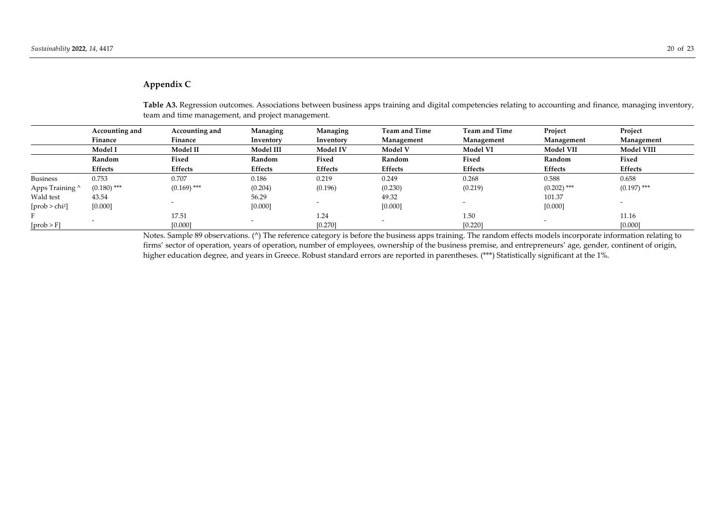# **Appendix C**

|                  | Accounting and | Accounting and | Managing       | Managing        | <b>Team and Time</b> | <b>Team and Time</b> | Project          | Project           |
|------------------|----------------|----------------|----------------|-----------------|----------------------|----------------------|------------------|-------------------|
|                  | Finance        | Finance        | Inventory      | Inventory       | Management           | Management           | Management       | Management        |
|                  | Model I        | Model II       | Model III      | <b>Model IV</b> | Model V              | <b>Model VI</b>      | <b>Model VII</b> | <b>Model VIII</b> |
|                  | Random         | Fixed          | Random         | Fixed           | Random               | Fixed                | Random           | Fixed             |
|                  | Effects        | <b>Effects</b> | <b>Effects</b> | Effects         | <b>Effects</b>       | <b>Effects</b>       | <b>Effects</b>   | <b>Effects</b>    |
| <b>Business</b>  | 0.753          | 0.707          | 0.186          | 0.219           | 0.249                | 0.268                | 0.588            | 0.658             |
| Apps Training ^  | $(0.180)$ ***  | $(0.169)$ ***  | (0.204)        | (0.196)         | (0.230)              | (0.219)              | $(0.202)$ ***    | $(0.197)$ ***     |
| Wald test        | 43.54          |                | 56.29          |                 | 49.32                |                      | 101.37           |                   |
| $[prob > chi^2]$ | [0.000]        |                | [0.000]        |                 | [0.000]              |                      | [0.000]          |                   |
|                  |                | 17.51          |                | 1.24            |                      | 1.50                 |                  | 11.16             |
| [prob > F]       |                | [0.000]        |                | [0.270]         |                      | [0.220]              |                  | [0.000]           |

**Table A3.** Regression outcomes. Associations between business apps training and digital competencies relating to accounting and finance, managing inventory, team and time management, and project management.

Notes. Sample 89 observations. (^) The reference category is before the business apps training. The random effects models incorporate information relating to firms' sector of operation, years of operation, number of employees, ownership of the business premise, and entrepreneurs' age, gender, continent of origin, higher education degree, and years in Greece. Robust standard errors are reported in parentheses. (\*\*\*) Statistically significant at the 1%.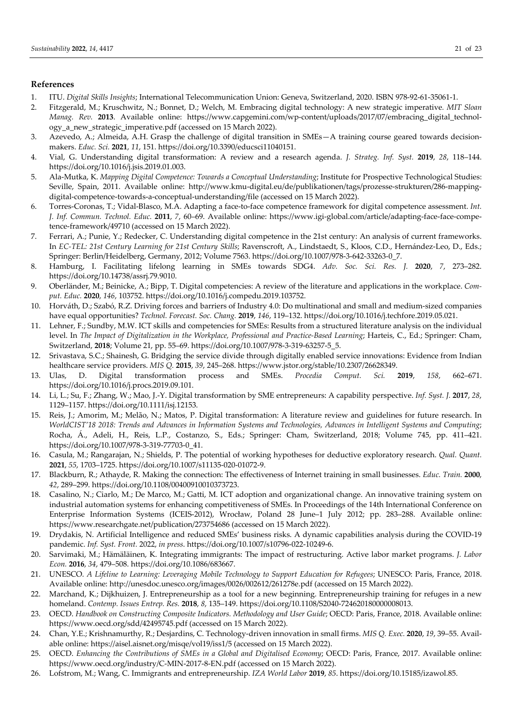# **References**

- 1. ITU. *Digital Skills Insights*; International Telecommunication Union: Geneva, Switzerland, 2020. ISBN 978-92-61-35061-1.
- 2. Fitzgerald, M.; Kruschwitz, N.; Bonnet, D.; Welch, M. Embracing digital technology: A new strategic imperative*. MIT Sloan Manag. Rev.* **2013**. Available online: https://www.capgemini.com/wp-content/uploads/2017/07/embracing\_digital\_technology\_a\_new\_strategic\_imperative.pdf (accessed on 15 March 2022).
- 3. Azevedo, A.; Almeida, A.H. Grasp the challenge of digital transition in SMEs—A training course geared towards decisionmakers. *Educ. Sci.* **2021**, *11*, 151. https://doi.org/10.3390/educsci11040151.
- 4. Vial, G. Understanding digital transformation: A review and a research agenda. *J. Strateg. Inf. Syst.* **2019**, *28*, 118–144. https://doi.org/10.1016/j.jsis.2019.01.003.
- 5. Ala-Mutka, K. *Mapping Digital Competence: Towards a Conceptual Understanding*; Institute for Prospective Technological Studies: Seville, Spain, 2011. Available online: http://www.kmu-digital.eu/de/publikationen/tags/prozesse-strukturen/286-mappingdigital-competence-towards-a-conceptual-understanding/file (accessed on 15 March 2022).
- 6. Torres-Coronas, T.; Vidal-Blasco, M.A. Adapting a face-to-face competence framework for digital competence assessment. *Int. J. Inf. Commun. Technol. Educ.* **2011**, *7*, 60–69. Available online: https://www.igi-global.com/article/adapting-face-face-competence-framework/49710 (accessed on 15 March 2022).
- 7. Ferrari, A.; Punie, Y.; Redecker, C. Understanding digital competence in the 21st century: An analysis of current frameworks. In *EC-TEL: 21st Century Learning for 21st Century Skills*; Ravenscroft, A., Lindstaedt, S., Kloos, C.D., Hernández-Leo, D., Eds.; Springer: Berlin/Heidelberg, Germany, 2012; Volume 7563. https://doi.org/10.1007/978-3-642-33263-0\_7.
- 8. Hamburg, I. Facilitating lifelong learning in SMEs towards SDG4. *Adv. Soc. Sci. Res. J.* **2020**, *7*, 273–282. https://doi.org/10.14738/assrj.79.9010.
- 9. Oberländer, M.; Beinicke, A.; Bipp, T. Digital competencies: A review of the literature and applications in the workplace. *Comput. Educ.* **2020**, *146*, 103752. https://doi.org/10.1016/j.compedu.2019.103752.
- 10. Horváth, D.; Szabó, R.Z. Driving forces and barriers of Industry 4.0: Do multinational and small and medium-sized companies have equal opportunities? *Technol. Forecast. Soc. Chang.* **2019**, *146*, 119–132. https://doi.org/10.1016/j.techfore.2019.05.021.
- 11. Lehner, F.; Sundby, M.W. ICT skills and competencies for SMEs: Results from a structured literature analysis on the individual level. In The Impact of Digitalization in the Workplace, Professional and Practice-Based Learning; Harteis, C., Ed.; Springer: Cham, Switzerland, **2018**; Volume 21, pp. 55–69. https://doi.org/10.1007/978-3-319-63257-5\_5.
- 12. Srivastava, S.C.; Shainesh, G. Bridging the service divide through digitally enabled service innovations: Evidence from Indian healthcare service providers. *MIS Q.* **2015**, *39*, 245–268. https://www.jstor.org/stable/10.2307/26628349.
- 13. Ulas, D. Digital transformation process and SMEs. *Procedia Comput. Sci.* **2019**, *158*, 662–671. https://doi.org/10.1016/j.procs.2019.09.101.
- 14. Li, L.; Su, F.; Zhang, W.; Mao, J.-Y. Digital transformation by SME entrepreneurs: A capability perspective. *Inf. Syst. J.* **2017**, *28*, 1129–1157. https://doi.org/10.1111/isj.12153.
- 15. Reis, J.; Amorim, M.; Melão, N.; Matos, P. Digital transformation: A literature review and guidelines for future research. In *WorldCIST'18 2018: Trends and Advances in Information Systems and Technologies, Advances in Intelligent Systems and Computing*; Rocha, Á., Adeli, H., Reis, L.P., Costanzo, S., Eds.; Springer: Cham, Switzerland, 2018; Volume 745, pp. 411–421. https://doi.org/10.1007/978-3-319-77703-0\_41.
- 16. Casula, M.; Rangarajan, N.; Shields, P. The potential of working hypotheses for deductive exploratory research. *Qual. Quant.*  **2021**, *55*, 1703–1725. https://doi.org/10.1007/s11135-020-01072-9.
- 17. Blackburn, R.; Athayde, R. Making the connection: The effectiveness of Internet training in small businesses. *Educ. Train.* **2000**, *42*, 289–299. https://doi.org/10.1108/00400910010373723.
- 18. Casalino, N.; Ciarlo, M.; De Marco, M.; Gatti, M. ICT adoption and organizational change. An innovative training system on industrial automation systems for enhancing competitiveness of SMEs. In Proceedings of the 14th International Conference on Enterprise Information Systems (ICEIS-2012), Wrocław, Poland 28 June–1 July 2012; pp. 283–288. Available online: https://www.researchgate.net/publication/273754686 (accessed on 15 March 2022).
- 19. Drydakis, N. Artificial Intelligence and reduced SMEs' business risks. A dynamic capabilities analysis during the COVID-19 pandemic. *Inf. Syst. Front.* 2022, *in press*. https://doi.org/10.1007/s10796-022-10249-6.
- 20. Sarvimaki, M.; Hämäläinen, K. Integrating immigrants: The impact of restructuring. Active labor market programs. *J. Labor Econ.* **2016**, *34*, 479–508. https://doi.org/10.1086/683667.
- 21. UNESCO. *A Lifeline to Learning: Leveraging Mobile Technology to Support Education for Refugees*; UNESCO: Paris, France, 2018. Available online: http://unesdoc.unesco.org/images/0026/002612/261278e.pdf (accessed on 15 March 2022).
- 22. Marchand, K.; Dijkhuizen, J. Entrepreneurship as a tool for a new beginning. Entrepreneurship training for refuges in a new homeland. *Contemp. Issues Entrep. Res.* **2018**, *8*, 135–149. https://doi.org/10.1108/S2040-724620180000008013.
- 23. OECD. *Handbook on Constructing Composite Indicators. Methodology and User Guide*; OECD: Paris, France, 2018. Available online: https://www.oecd.org/sdd/42495745.pdf (accessed on 15 March 2022).
- 24. Chan, Y.E.; Krishnamurthy, R.; Desjardins, C. Technology-driven innovation in small firms. *MIS Q. Exec.* **2020**, *19*, 39–55. Available online: https://aisel.aisnet.org/misqe/vol19/iss1/5 (accessed on 15 March 2022).
- 25. OECD. *Enhancing the Contributions of SMEs in a Global and Digitalised Economy*; OECD: Paris, France, 2017. Available online: https://www.oecd.org/industry/C-MIN-2017-8-EN.pdf (accessed on 15 March 2022).
- 26. Lofstrom, M.; Wang, C. Immigrants and entrepreneurship. *IZA World Labor* **2019**, *85*. https://doi.org/10.15185/izawol.85.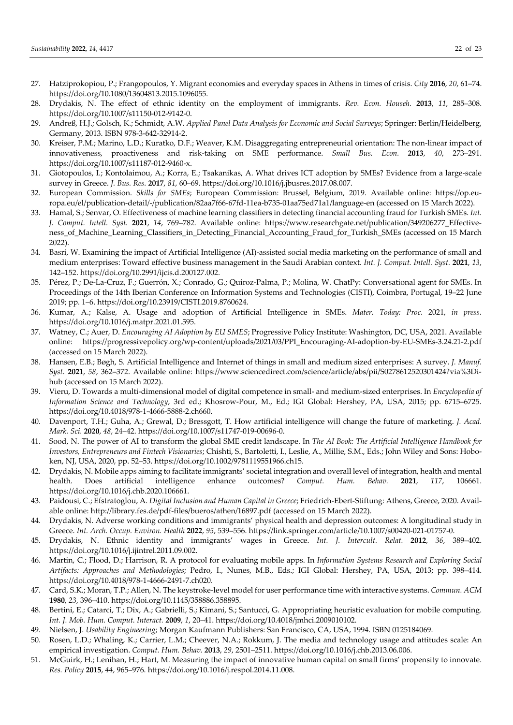- 27. Hatziprokopiou, P.; Frangopoulos, Y. Migrant economies and everyday spaces in Athens in times of crisis. *City* **2016**, *20*, 61–74. https://doi.org/10.1080/13604813.2015.1096055.
- 28. Drydakis, N. The effect of ethnic identity on the employment of immigrants. *Rev. Econ. Househ.* **2013**, *11*, 285–308. https://doi.org/10.1007/s11150-012-9142-0.
- 29. Andreß, H.J.; Golsch, K.; Schmidt, A.W. *Applied Panel Data Analysis for Economic and Social Surveys*; Springer: Berlin/Heidelberg, Germany, 2013. ISBN 978-3-642-32914-2.
- 30. Kreiser, P.M.; Marino, L.D.; Kuratko, D.F.; Weaver, K.M. Disaggregating entrepreneurial orientation: The non-linear impact of innovativeness, proactiveness and risk-taking on SME performance. *Small Bus. Econ.* **2013**, *40*, 273–291. https://doi.org/10.1007/s11187-012-9460-x.
- 31. Giotopoulos, I.; Kontolaimou, A.; Korra, E.; Tsakanikas, A. What drives ICT adoption by SMEs? Evidence from a large-scale survey in Greece. *J. Bus. Res.* **2017**, *81*, 60–69. https://doi.org/10.1016/j.jbusres.2017.08.007.
- 32. European Commission. *Skills for SMEs*; European Commission: Brussel, Belgium, 2019. Available online: https://op.europa.eu/el/publication-detail/-/publication/82aa7f66-67fd-11ea-b735-01aa75ed71a1/language-en (accessed on 15 March 2022).
- 33. Hamal, S.; Senvar, O. Effectiveness of machine learning classifiers in detecting financial accounting fraud for Turkish SMEs. *Int. J. Comput. Intell. Syst.* **2021**, *14*, 769–782. Available online: https://www.researchgate.net/publication/349206277\_Effectiveness of Machine Learning Classifiers in Detecting Financial Accounting Fraud for Turkish SMEs (accessed on 15 March 2022).
- 34. Basri, W. Examining the impact of Artificial Intelligence (AI)-assisted social media marketing on the performance of small and medium enterprises: Toward effective business management in the Saudi Arabian context. *Int. J. Comput. Intell. Syst.* **2021**, *13*, 142–152. https://doi.org/10.2991/ijcis.d.200127.002.
- 35. Pérez, P.; De-La-Cruz, F.; Guerrón, X.; Conrado, G.; Quiroz-Palma, P.; Molina, W. ChatPy: Conversational agent for SMEs. In Proceedings of the 14th Iberian Conference on Information Systems and Technologies (CISTI), Coimbra, Portugal, 19–22 June 2019; pp. 1–6. https://doi.org/10.23919/CISTI.2019.8760624.
- 36. Kumar, A.; Kalse, A. Usage and adoption of Artificial Intelligence in SMEs. *Mater. Today: Proc.* 2021, *in press*. https://doi.org/10.1016/j.matpr.2021.01.595.
- 37. Watney, C.; Auer, D. *Encouraging AI Adoption by EU SMES*; Progressive Policy Institute: Washington, DC, USA, 2021. Available online: https://progressivepolicy.org/wp-content/uploads/2021/03/PPI\_Encouraging-AI-adoption-by-EU-SMEs-3.24.21-2.pdf (accessed on 15 March 2022).
- 38. Hansen, E.B.; Bøgh, S. Artificial Intelligence and Internet of things in small and medium sized enterprises: A survey. *J. Manuf. Syst.* **2021**, *58*, 362–372. Available online: https://www.sciencedirect.com/science/article/abs/pii/S0278612520301424?via%3Dihub (accessed on 15 March 2022).
- 39. Vieru, D. Towards a multi-dimensional model of digital competence in small- and medium-sized enterprises. In *Encyclopedia of Information Science and Technology*, 3rd ed.; Khosrow-Pour, M., Ed.; IGI Global: Hershey, PA, USA, 2015; pp. 6715–6725. https://doi.org/10.4018/978-1-4666-5888-2.ch660.
- 40. Davenport, T.H.; Guha, A.; Grewal, D.; Bressgott, T. How artificial intelligence will change the future of marketing. *J. Acad. Mark. Sci.* **2020**, *48*, 24–42. https://doi.org/10.1007/s11747-019-00696-0.
- 41. Sood, N. The power of AI to transform the global SME credit landscape. In *The AI Book: The Artificial Intelligence Handbook for Investors, Entrepreneurs and Fintech Visionaries*; Chishti, S., Bartoletti, I., Leslie, A., Millie, S.M., Eds.; John Wiley and Sons: Hoboken, NJ, USA, 2020, pp. 52–53. https://doi.org/10.1002/9781119551966.ch15.
- 42. Drydakis, N. Mobile apps aiming to facilitate immigrants' societal integration and overall level of integration, health and mental health. Does artificial intelligence enhance outcomes? *Comput. Hum. Behav.* **2021**, *117*, 106661. https://doi.org/10.1016/j.chb.2020.106661.
- 43. Paidousi, C.; Efstratoglou, A. *Digital Inclusion and Human Capital in Greece*; Friedrich-Ebert-Stiftung: Athens, Greece, 2020. Available online: http://library.fes.de/pdf-files/bueros/athen/16897.pdf (accessed on 15 March 2022).
- 44. Drydakis, N. Adverse working conditions and immigrants' physical health and depression outcomes: A longitudinal study in Greece. *Int. Arch. Occup. Environ. Health* **2022**, *95*, 539–556. https://link.springer.com/article/10.1007/s00420-021-01757-0.
- 45. Drydakis, N. Ethnic identity and immigrants' wages in Greece. *Int. J. Intercult. Relat.* **2012**, *36*, 389–402. https://doi.org/10.1016/j.ijintrel.2011.09.002.
- 46. Martin, C.; Flood, D.; Harrison, R. A protocol for evaluating mobile apps. In *Information Systems Research and Exploring Social Artifacts: Approaches and Methodologies*; Pedro, I., Nunes, M.B., Eds.; IGI Global: Hershey, PA, USA, 2013; pp. 398–414. https://doi.org/10.4018/978-1-4666-2491-7.ch020.
- 47. Card, S.K.; Moran, T.P.; Allen, N. The keystroke-level model for user performance time with interactive systems. *Commun. ACM* **1980**, *23*, 396–410. https://doi.org/10.1145/358886.358895.
- 48. Bertini, E.; Catarci, T.; Dix, A.; Gabrielli, S.; Kimani, S.; Santucci, G. Appropriating heuristic evaluation for mobile computing. *Int. J. Mob. Hum. Comput. Interact.* **2009**, *1*, 20–41. https://doi.org/10.4018/jmhci.2009010102.
- 49. Nielsen, J. *Usability Engineering*; Morgan Kaufmann Publishers: San Francisco, CA, USA, 1994. ISBN 0125184069.
- 50. Rosen, L.D.; Whaling, K.; Carrier, L.M.; Cheever, N.A.; Rokkum, J. The media and technology usage and attitudes scale: An empirical investigation. *Comput. Hum. Behav.* **2013**, *29*, 2501–2511. https://doi.org/10.1016/j.chb.2013.06.006.
- 51. McGuirk, H.; Lenihan, H.; Hart, M. Measuring the impact of innovative human capital on small firms' propensity to innovate. *Res. Policy* **2015**, *44*, 965–976. https://doi.org/10.1016/j.respol.2014.11.008.